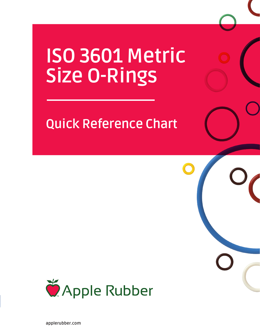# **ISO 3601 Metric Size O-Rings**

# **Quick Reference Chart**

 $\bigcirc$ 



**applerubber.com**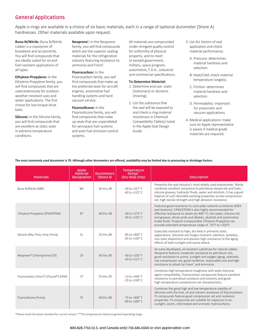# **General Applications**

Apple o-rings are available in a choice of six basic materials, each in a range of optional durometer (Shore A) hardnesses. Other materials available upon request.

**Buna-N/Nitrile:** Buna N/Nitrile rubber is a copolymer of butadiene and acrylonitrile. You will find compounds that are ideally suited for oil and fuel-resistant applications of all types.

#### **Ethylene-Propylene:** In the Ethylene-Propylene family, you will find compounds that are used extensively for outdoor, weather-resistant uses and water applications. The first choice for low torque drive belts.

**Silicone:** In the Silicone family, you will find compounds that are excellent as static seals in extreme temperature conditions.

**Neoprene**® **:** In the Neoprene family, you will find compounds which are the superior sealing materials for the refrigeration industry featuring resistance to ammonia and Freon<sup>®</sup>.

#### **Fluorocarbon:** In the

Fluorocarbon family, you will find compounds that make up the preferred seals for aircraft engines, automotive fuel handling systems and hard vacuum service.

#### **Fluorosilicone:** In the

Fluorosilicone family, you will find compounds that make up seals that are unparalleled for aerospace fuel systems and auto fuel emission control systems.

All materials are compounded under stringent quality control for uniformity of physical property, and to meet or exceed government, military, space program, automotive, F.D.A., industrial and commercial specifications.

#### **To Determine Material:**

- 1. Determine end use: static (stationary) or dynamic (moving).
- 2. List the substance that the seal will be exposed to and check o-ring material resistances in Chemical Compatibility Table(s) listed in the Apple Seal Design Guide.
- 3. List ALL factors of seal application and check material performance.
	- A. Pressure: determines material hardness and selection.
	- B. Heat/Cold: check material temperature range(s).
	- C. Friction: determines material hardness and selection.
	- D. Permeability: important for pneumatic and vacuum applications.
- 4. Medical applications: make sure an Apple representative is aware if medical grade materials are required.

| <b>Materials</b>                       | Apple<br><b>Material</b><br><b>Designation</b> | <b>Durometers</b><br>(Shore A) | Temperature<br>Range**<br>(Dry Heat Only)            | <b>Description</b>                                                                                                                                                                                                                                                                                                                                                                       |
|----------------------------------------|------------------------------------------------|--------------------------------|------------------------------------------------------|------------------------------------------------------------------------------------------------------------------------------------------------------------------------------------------------------------------------------------------------------------------------------------------------------------------------------------------------------------------------------------------|
| Buna-N/Nitrile (NBR)                   | <b>BN</b>                                      | 40 thru 90                     | $-40$ to $+257$ ° F<br>$-40$ to $+125$ °C            | Presently the seal industry's most widely used elastometer. Nitrile<br>combines excellent resistance to petroleum-based oils and fuels,<br>silicone greases, hydraulic fluids, water and alcohols. It has a good<br>balance of such desirable working properties as low compression<br>set, high tensile strength and high abrasion resistance.                                          |
| Ethylene-Propylene (EPM/EPDM)          | <b>FP</b>                                      | 40 thru 90                     | $-40$ to $+275$ ° F<br>$-40$ to $+135$ ° C           | Features good resistance to such polar solvents as ketones (MEK<br>and Acetone). EPM/EPDM is also highly recommended for<br>effective resistance to steam (to 400°F), hot water, silicone oils<br>and greases, dilute acids and alkalies, alcohols and automotive<br>brake fluids. Properly compounded, Ethylene Propylene can<br>provide extended temperature range of -76°F to +350°F. |
| Silicone (Mg; Pmg; Vmg; Pvmg)          | SI.                                            | 25 thru 80                     | $-85$ to $+400$ ° F<br>$-65$ to $+230^{\circ}$ C     | Especially resistant to high, dry heat in primarily static<br>applications. Silicones are fungus resistant, odorless, tasteless,<br>non-toxic elastomers and possess high-resistance to the aging<br>effects of both sunlight and ozone attack.                                                                                                                                          |
| Neoprene® (Chloroprene) (CR)           | CR                                             | 40 thru 90                     | $-40$ to $+250$ ° F<br>$-40$ to $+121$ ° C           | An early developed, oil-resistant substitute for natural rubber,<br>Neoprene features moderate resistance to petroleum oils,<br>good resistance to ozone, sunlight and oxygen aging, relatively<br>low compression set, good resilience, reasonable cost and high<br>resistance to attack by Freon® and Ammonia.                                                                         |
| Fluorocarbon (Viton®) (Fluorel®) (FKM) | VT                                             | 55 thru 95                     | $-13$ to $+446^\circ$ F<br>$-25$ to $+230^{\circ}$ C | Combines high-temperature toughness with wide chemical<br>agent compatibility, Fluorocarbon compounds feature excellent<br>resistance to petroleum products and solvents and good<br>high-temperature compression set characteristics.                                                                                                                                                   |
| Fluorosilicone (Fvmg)                  | <b>FS</b>                                      | 40 thru 80                     | $-75$ to $+400$ ° F<br>$-60$ to $+200^{\circ}$ C.    | Combines the good high and low temperature stability of<br>Silicones with the fuel, oil and solvent resistance of fluorocarbons.<br>FS compounds feature good compression set and resilience<br>properties. FS compounds are suitable for exposure to air,<br>sunlight, ozone, chlorinated and aromatic hydrocarbons.                                                                    |

**The most commonly used durometer is 70. Although other durometers are offered, availability may be limited due to processing or shrinkage factors.**

\*Please check the latest standard for current version. \*\*The temperatures listed are general operating range.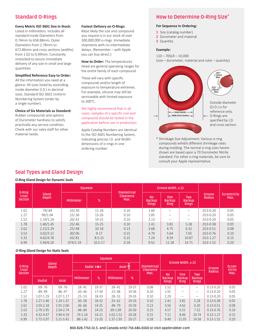# **Standard O-Rings**

#### **Every Metric ISO 3601 Size in Stock:**

Listed in millimeters. Includes all standard Inside Diameters from 0.74mm to 658.88mm, Outer Diameters from 2.78mm to 672.86mm and cross sections (widths) from 1.02 to 6.99mm. Constantly restocked to assure immediate delivery of any size in small and large quantities.

#### **Simplified Reference Easy to Order:**

All the information you need at a glance. All sizes listed by ascending inside diameter (I.D.) in decimal sizes. Standard ISO 3601 Uniform Numbering System (order by a single number).

#### **Choice of Six Materials as Standard:**

Rubber compounds and options of Durometer hardness to satisfy practically any service condition. Check with our sales staff for other material needs.

#### **Fastest Delivery on O-Rings:**

Most likely the size and compound you require is in our stock of over 300,000,000 o-rings. Immediate shipments with no intermediate delays. (Remember – with Apple you can buy direct.)

**How to Order:** The temperatures listed are general operating ranges for the entire family of each compound.

These will vary with specific compounds and/or length of exposure to temperature extremes. For example, silicone may still be serviceable with limited exposure to 300°C.

#### We highly recommend that in all cases, samples of a specific size and compound should be tested in the application before use in production.

Apple Catalog Numbers are identical to the ISO 3601 Numbering System, indicating precise I.D. and Width dimensions of o-rings in one ordering number.

# **How to Determine O-Ring Size\***

#### **For Sequence in Ordering:**

- **1** Size (catalog number)
- **2** Durometer and material
- **3** Quantity

#### **Example:**

110 – 70SLR – 10,000

(size – durometer, material and color – quantity)



\* Shrinkage Size Adjustment: Various o-ring compounds exhibit different shrinkage rates during molding. The normal o-ring sizes herein shown are based upon a 70 Durometer Nitrile standard. For other o-ring materials, be sure to consult your Apple representative.

|                                   |                | Squeeze    |               |                                         |                                            | Groove Width, $\pm$ , 13                   |                                             |                  |                             |
|-----------------------------------|----------------|------------|---------------|-----------------------------------------|--------------------------------------------|--------------------------------------------|---------------------------------------------|------------------|-----------------------------|
| 0-Ring<br><b>Cross</b><br>Section | Gland<br>Depth | Millimeter | $\frac{9}{6}$ | <b>Diametrical</b><br>Clearance<br>Max. | <b>No</b><br><b>Backup</b><br><b>Rings</b> | <b>One</b><br><b>Backup</b><br><b>Ring</b> | <b>Two</b><br><b>Backup</b><br><b>Rings</b> | Groove<br>Radius | <b>Eccentricity</b><br>Max. |
| 1.02                              | .79/.84        | .10/.30    | $11 - 28$     | 0.10                                    | 1.60                                       |                                            | $\overline{\phantom{m}}$                    | $.013 - 0.20$    | 0.05                        |
| 1.27                              | .99/1.04       | .15/.36    | $13 - 26$     | 0.10                                    | 1.85                                       | -                                          | $\qquad \qquad -$                           | $.013 - 0.20$    | 0.05                        |
| 1.52                              | 1.19/1.24      | .20/.41    | 14-25         | 0.10                                    | 2.13                                       | $\overline{\phantom{0}}$                   | $\overline{\phantom{m}}$                    | $.013 - 0.20$    | 0.05                        |
| 1.78                              | 1.40/1.45      | .25/.46    | $15 - 25$     | 0.10                                    | 2.41                                       | 3.81                                       | 5.28                                        | $.013 - 0.38$    | 0.05                        |
| 2.62                              | 2.21/2.29      | .25/.48    | $10 - 18$     | 0.13                                    | 3.68                                       | 4.75                                       | 6.32                                        | $.013 - 0.51$    | 0.08                        |
| 3.53                              | 3.02/3.12      | .30/.06    | $9 - 17$      | 0.15                                    | 4.70                                       | 5.64                                       | 7.65                                        | $.013 - 0.76$    | 0.10                        |
| 5.33                              | 4.65/4.78      | .43/.81    | $8.5 - 15$    | 0.15                                    | 7.24                                       | 8.59                                       | 10.87                                       | $.013 - 1.27$    | 0.15                        |
| 6.99                              | 5.94/6.10      | .074/1.19  | $10.5 - 17$   | 0.18                                    | 9.52                                       | 11.18                                      | 14.71                                       | $.013 - 1.52$    | 0.20                        |

#### **O-Ring Gland Design for Static Seals**

|                                                 |               |             |              |                              | Squeeze       |                                 |                          |                            |                             |                             |                   |      |
|-------------------------------------------------|---------------|-------------|--------------|------------------------------|---------------|---------------------------------|--------------------------|----------------------------|-----------------------------|-----------------------------|-------------------|------|
| Gland<br>0-Ring<br><b>Depth</b><br><b>Cross</b> |               | Radial >O<  |              | $\checkmark$<br>Axial O<br>⌒ |               | <b>Diametrical</b><br>Clearance | Groove Width, $\pm$ , 13 |                            |                             | Groove                      | Eccen-<br>tricity |      |
| Section                                         |               |             | Millimeter   | $\%$                         | Millimeter    | $\frac{9}{6}$                   | Max.                     | <b>No</b><br><b>Backup</b> | <b>One</b><br><b>Backup</b> | <b>Two</b><br><b>Backup</b> | <b>Radius</b>     | Max. |
|                                                 | Radial        | Axial       |              |                              |               |                                 |                          | <b>Rings</b>               | <b>Ring</b>                 | <b>Rings</b>                |                   |      |
| 1.02                                            | $.69 - .76$   | $.69 - .76$ | $.18 - .41$  | 19-37                        | $.18 - .41$   | 19-37                           | 0.08                     | 1.52                       | -                           | $\overline{\phantom{0}}$    | $0.13 - 0.20$     | 0.05 |
| 1.27                                            | $.89 - .99$   | $.86 - .97$ | $.20 - .46$  | $17 - 34$                    | $.23 - .48$   | 19-36                           | 0.10                     | 1.91                       | -                           | $\equiv$                    | $0.13 - 0.20$     | 0.05 |
| 1.52                                            | 1.07-1.19     | 1.07-1.17   | $.25 - .53$  | 18-33                        | $.28 - .53$   | 19-33                           | 0.10                     | 2.29                       |                             | $\overline{\phantom{0}}$    | $0.13 - 0.20$     | 0.05 |
| 1.78                                            | $1.27 - 1.40$ | 1.24-1.37   | $.30 - .58$  | 18-32                        | $.33 - .61$   | 19-33                           | 0.10                     | 2.41                       | 3.81                        | 5.28                        | $0.13 - 0.38$     | 0.05 |
| 2.62                                            | $2.03 - 2.18$ | 1.91-2.06   | $.36 - .66$  | $14 - 25$                    | .48-.79       | 19-29                           | 0.13                     | 3.56                       | 4.62                        | 6.20                        | $0.13 - 0.51$     | 0.08 |
| 3.53                                            | 2.79-2.95     | 2.54-2.74   | $.48 - .84$  | $14 - 23$                    | $.69 - 1.09$  | $20 - 30$                       | 0.15                     | 4.57                       | 5.51                        | 7.52                        | $0.13 - 0.76$     | 0.10 |
| 5.33                                            | 4.32-4.47     | 3.94-4.19   | $.74 - 1.14$ | $14 - 21$                    | $1.02 - 1.52$ | $20 - 28$                       | 0.15                     | 7.11                       | 8.46                        | 10.74                       | $0.13 - 1.27$     | 0.15 |
| 6.99                                            | 5.72-5.97     | 5.21-5.42   | $.86 - 1.42$ | $13 - 20$                    | 1.37-1.93     | $20 - 27$                       | 0.18                     | 9.40                       | 11.05                       | 14.58                       | $0.13 - 1.52$     | 0.20 |

**800.828.7745 (U.S. and Canada only) 716.684.6560 or visit applerubber.com**

### **O-Ring Gland Design for Dynamic Seals**

**Seal Types and Gland Design**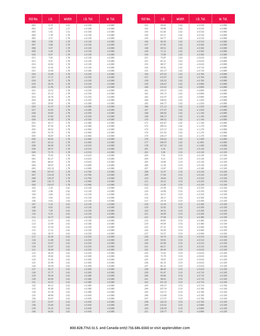| ISO No.          | I.D.             | Width        | I.D. Tol.          | W. Tol.            |
|------------------|------------------|--------------|--------------------|--------------------|
| $-001$           | 0.74             | 1.02         | $\pm$ 0.100        | ± 0.080            |
| $-002$           | 1.07             | 1.27         | ± 0.100            | ± 0.080            |
| $-003$           | 1.42             | 1.52         | ± 0.100            | ± 0.080            |
| $-004$           | 1.78             | 1.78         | ± 0.130            | ± 0.080            |
| $-005$           | 2.57             | 1.78         | ± 0.130            | ± 0.080            |
| $-006$           | 2.90             | 1.78         | ± 0.130            | ± 0.080            |
| $-007$           | 3.68             | 1.78         | ± 0.130            | ± 0.080            |
| $-008$           | 4.47             | 1.78         | ± 0.130            | ± 0.080            |
| $-009$<br>$-010$ | 5.28<br>6.07     | 1.78<br>1.78 | ± 0.130<br>± 0.130 | ± 0.080<br>± 0.080 |
| $-011$           | 7.65             | 1.78         | ± 0.130            | ± 0.080            |
| $-012$           | 9.25             | 1.78         | ± 0.130            | ± 0.080            |
| $-013$           | 10.82            | 1.78         | ± 0.130            | ± 0.080            |
| $-014$           | 12.42            | 1.78         | ± 0.130            | ± 0.080            |
| $-015$           | 14.00            | 1.78         | ± 0.180            | ± 0.080            |
| $-016$           | 15.60            | 1.78         | ± 0.230            | ± 0.080            |
| $-017$           | 17.17            | 1.78         | ± 0.230            | ± 0.080            |
| $-018$           | 18.77            | 1.78         | ± 0.230            | ± 0.080            |
| $-019$           | 20.35            | 1.78         | ± 0.230            | ± 0.080            |
| $-020$           | 21.95            | 1.78         | ± 0.230            | ± 0.080            |
| $-021$           | 23.52            | 1.78         | ± 0.230            | ± 0.080            |
| $-022$           | 25.12            | 1.78         | ± 0.250            | ± 0.080            |
| $-023$           | 26.70            | 1.78         | ± 0.250            | $\pm$ 0.080        |
| $-024$           | 28.30            | 1.78         | ± 0.250            | ± 0.080            |
| $-025$           | 29.87            | 1.78         | ± 0.280            | ± 0.080            |
| $-026$           | 31.47            | 1.78         | ± 0.280            | ± 0.080            |
| $-027$           | 33.05            | 1.78         | ± 0.280            | ± 0.080            |
| $-028$<br>$-029$ | 34.65<br>37.82   | 1.78         | ± 0.330<br>± 0.330 | ± 0.080<br>± 0.080 |
| $-030$           | 41.00            | 1.78<br>1.78 | ± 0.330            | ± 0.080            |
| $-031$           | 44.17            | 1.78         | ± 0.380            | ± 0.080            |
| $-032$           | 47.35            | 1.78         | ± 0.380            | ± 0.080            |
| $-033$           | 50.52            | 1.78         | ± 0.460            | ± 0.080            |
| $-034$           | 53.70            | 1.78         | ± 0.460            | ± 0.080            |
| $-035$           | 56.87            | 1.78         | ± 0.460            | ± 0.080            |
| $-036$           | 60.05            | 1.78         | ± 0.460            | ± 0.080            |
| $-037$           | 63.22            | 1.78         | ± 0.460            | ± 0.080            |
| $-038$           | 66.40            | 1.78         | ± 0.510            | ± 0.080            |
| $-039$           | 69.57            | 1.78         | ± 0.510            | ± 0.080            |
| $-040$           | 72.75            | 1.78         | ± 0.510            | ± 0.080            |
| $-041$           | 75.92            | 1.78         | ± 0.610            | ± 0.080            |
| $-042$           | 82.27            | 1.78         | ± 0.610            | ± 0.080            |
| $-043$           | 88.62            | 1.78         | ± 0.610            | ± 0.080            |
| $-044$           | 94.97            | 1.78         | ± 0.690            | ± 0.080            |
| $-045$           | 101.32           | 1.78         | ± 0.690            | ± 0.080            |
| $-046$           | 107.67           | 1.78         | ± 0.760            | ± 0.080            |
| $-047$<br>$-048$ | 114.02<br>120.37 | 1.78<br>1.78 | ± 0.760<br>± 0.760 | ± 0.080<br>± 0.080 |
| $-049$           | 126.72           | 1.78         | ± 0.940            | ± 0.080            |
| $-050$           | 133.07           | 1.78         | ± 0.940            | ± 0.080            |
| $-102$           | 1.24             | 2.62         | ± 0.130            | ± 0.080            |
| $-103$           | 2.06             | 2.62         | ± 0.130            | ± 0.080            |
| $-104$           | 2.84             | 2.62         | ± 0.130            | ± 0.080            |
| $-105$           | 3.63             | 2.62         | ± 0.130            | ± 0.080            |
| $-106$           | 4.42             | 2.62         | ± 0.130            | ± 0.080            |
| $-107$           | 5.23             | 2.62         | ± 0.130            | ± 0.080            |
| $-108$           | 6.02             | 2.62         | ± 0.130            | ± 0.080            |
| $-109$           | 7.59             | 2.62         | ± 0.130            | ± 0.080            |
| $-110$           | 9.19             | 2.62         | ± 0.130            | ± 0.080            |
| $-111$           | 10.77            | 2.62         | ± 0.130            | ± 0.080            |
| $-112$           | 12.37            | 2.62         | ± 0.130            | ± 0.080            |
| $-113$           | 13.94            | 2.62         | ± 0.180<br>± 0.230 | ± 0.080<br>± 0.080 |
| $-114$<br>$-115$ | 15.54<br>17.12   | 2.62<br>2.62 | ± 0.230            | ± 0.080            |
| $-116$           | 18.72            | 2.62         | ± 0.230            | ± 0.080            |
| $-117$           | 20.29            | 2.62         | ± 0.250            | ± 0.080            |
| $-118$           | 21.89            | 2.62         | ± 0.250            | ± 0.080            |
| $-119$           | 23.47            | 2.62         | ± 0.250            | ± 0.080            |
| $-120$           | 25.07            | 2.62         | ± 0.250            | ± 0.080            |
| $-121$           | 26.64            | 2.62         | ± 0.250            | ± 0.080            |
| $-122$           | 28.24            | 2.62         | ± 0.250            | ± 0.080            |
| $-123$           | 29.82            | 2.62         | ± 0.300            | ± 0.080            |
| $-124$           | 31.42            | 2.62         | ± 0.300            | ± 0.080            |
| $-125$           | 32.99            | 2.62         | ± 0.300            | ± 0.080            |
| $-126$           | 34.59            | 2.62         | ± 0.300            | ± 0.080            |
| $-127$           | 36.17            | 2.62         | ± 0.300            | ± 0.080            |
| $-128$           | 37.77            | 2.62         | ± 0.300            | ± 0.080            |
| $-129$           | 39.34            | 2.62         | ± 0.380            | ± 0.080            |
| $-130$           | 40.94            | 2.62         | ± 0.380            | ± 0.080            |
| $-131$           | 42.52            | 2.62         | ± 0.380            | ± 0.080            |
| $-132$           | 44.12            | 2.62         | ± 0.380            | ± 0.080            |
| $-133$           | 45.69            | 2.62         | ± 0.380            | ± 0.080            |
| $-134$<br>$-135$ | 47.29<br>48.90   | 2.62<br>2.62 | ± 0.380<br>± 0.430 | ± 0.080<br>± 0.080 |
| $-136$           | 50.47            | 2.62         | ± 0.430            | ± 0.080            |
| $-137$           | 52.07            | 2.62         | ± 0.430            | ± 0.080            |
| $-138$           | 53.64            | 2.62         | ± 0.430            | ± 0.080            |
| $-139$           | 55.25            | 2.62         | ± 0.430            | ± 0.080            |
| $-140$           | 56.82            | 2.62         | ± 0.430            | ± 0.080            |

| $-141$<br>58.42<br>± 0.510<br>2.62<br>± 0.080<br>$-142$<br>59.99<br>± 0.510<br>± 0.080<br>2.62<br>$-143$<br>61.60<br>2.62<br>± 0.510<br>± 0.080<br>$-144$<br>± 0.510<br>± 0.080<br>63.17<br>2.62<br>$-145$<br>± 0.510<br>± 0.080<br>64.77<br>2.62<br>$-146$<br>± 0.080<br>66.34<br>2.62<br>± 0.510<br>$-147$<br>67.95<br>± 0.560<br>± 0.080<br>2.62<br>$-148$<br>± 0.560<br>69.52<br>2.62<br>± 0.080<br>$-149$<br>71.12<br>2.62<br>± 0.560<br>± 0.080<br>$-150$<br>72.69<br>2.62<br>± 0.560<br>± 0.080<br>$-151$<br>75.87<br>2.62<br>± 0.610<br>± 0.080<br>$-152$<br>82.22<br>2.62<br>± 0.610<br>± 0.080<br>$-153$<br>88.57<br>2.62<br>± 0.610<br>± 0.080<br>94.92<br>$-154$<br>2.62<br>± 0.710<br>± 0.080<br>$-155$<br>101.27<br>2.62<br>± 0.710<br>± 0.080<br>$-156$<br>107.62<br>2.62<br>± 0.760<br>± 0.080<br>$-157$<br>± 0.760<br>113.97<br>2.62<br>± 0.080<br>$-158$<br>120.32<br>2.62<br>± 0.760<br>± 0.080<br>$-159$<br>126.67<br>2.62<br>± 0.890<br>± 0.080<br>$-160$<br>133.02<br>2.62<br>± 0.890<br>± 0.080<br>$-161$<br>139.37<br>2.62<br>± 0.890<br>± 0.080<br>$-162$<br>145.72<br>2.62<br>± 0.890<br>± 0.080<br>$-163$<br>152.07<br>2.62<br>± 0.890<br>± 0.080<br>$-164$<br>± 0.080<br>158.42<br>2.62<br>± 1.020<br>164.77<br>± 1.020<br>$-165$<br>2.62<br>± 0.080<br>$-166$<br>171.12<br>2.62<br>± 1.020<br>± 0.080<br>$-167$<br>177.47<br>2.62<br>± 1.020<br>± 0.080<br>$-168$<br>183.82<br>2.62<br>± 1.140<br>± 0.080<br>$-169$<br>190.17<br>2.62<br>± 1.140<br>± 0.080<br>$-170$<br>196.52<br>2.62<br>± 1.140<br>± 0.080<br>$-171$<br>202.87<br>2.62<br>± 1.140<br>± 0.080<br>$-172$<br>209.22<br>2.62<br>± 1.270<br>± 0.080<br>$-173$<br>215.57<br>2.62<br>± 0.080<br>± 1.270<br>$-174$<br>221.92<br>± 1.270<br>± 0.080<br>2.62<br>$-175$<br>228.27<br>2.62<br>± 1.270<br>± 0.080<br>2.62<br>$-176$<br>234.62<br>± 1.400<br>± 0.080<br>$-177$<br>240.97<br>2.62<br>±1.400<br>± 0.080<br>$-178$<br>247.32<br>2.62<br>± 1.400<br>± 0.080<br>$-201$<br>4.34<br>3.53<br>± 0.130<br>± 0.100<br>5.94<br>± 0.100<br>$-202$<br>3.53<br>± 0.130<br>$-203$<br>7.52<br>3.53<br>± 0.130<br>± 0.100<br>$-204$<br>3.53<br>9.12<br>± 0.130<br>± 0.100<br>$-205$<br>3.53<br>10.69<br>± 0.130<br>± 0.100<br>$-206$<br>12.29<br>3.53<br>± 0.130<br>± 0.100<br>$-207$<br>13.87<br>3.53<br>± 0.180<br>± 0.100<br>$-208$<br>15.47<br>3.53<br>± 0.230<br>± 0.100<br>$-209$<br>17.04<br>3.53<br>± 0.230<br>± 0.100<br>$-210$<br>18.64<br>3.53<br>± 0.250<br>± 0.100<br>± 0.250<br>$-211$<br>20.22<br>3.53<br>± 0.100<br>$-212$<br>21.82<br>3.53<br>± 0.250<br>± 0.100<br>± 0.250<br>$-213$<br>23.39<br>3.53<br>± 0.100<br>24.99<br>± 0.250<br>$-214$<br>3.53<br>± 0.100<br>$-215$<br>26.57<br>3.53<br>± 0.250<br>± 0.100<br>$-216$<br>28.17<br>3.53<br>± 0.300<br>± 0.100<br>$-217$<br>3.53<br>± 0.300<br>$\pm$ 0.100<br>29.74<br>31.34<br>$-218$<br>3.53<br>± 0.300<br>± 0.100<br>$-219$<br>32.92<br>3.53<br>± 0.300<br>± 0.100<br>$-220$<br>34.52<br>3.53<br>± 0.300<br>± 0.100<br>$-221$<br>36.09<br>3.53<br>± 0.300<br>± 0.100<br>$-222$<br>37.69<br>3.53<br>± 0.380<br>± 0.100<br>$-223$<br>40.87<br>3.53<br>± 0.380<br>± 0.100<br>$-224$<br>± 0.380<br>± 0.100<br>44.04<br>3.53<br>$-225$<br>3.53<br>± 0.460<br>± 0.100<br>47.22<br>$-226$<br>50.39<br>3.53<br>± 0.460<br>± 0.100<br>$-227$<br>53.57<br>3.53<br>± 0.460<br>± 0.100<br>$-228$<br>56.74<br>3.53<br>± 0.510<br>± 0.100<br>$-229$<br>59.92<br>3.53<br>± 0.510<br>± 0.100<br>$-230$<br>63.09<br>3.53<br>± 0.510<br>± 0.100<br>$-231$<br>66.27<br>3.53<br>± 0.510<br>± 0.100<br>$-232$<br>3.53<br>± 0.610<br>± 0.100<br>69.44<br>$-233$<br>72.62<br>3.53<br>± 0.610<br>± 0.100<br>75.79<br>$-234$<br>3.53<br>± 0.610<br>± 0.100<br>$-235$<br>78.97<br>3.53<br>± 0.610<br>± 0.100<br>$-236$<br>82.14<br>3.53<br>± 0.610<br>± 0.100<br>$-237$<br>85.32<br>3.53<br>± 0.100<br>± 0.610<br>$-238$<br>88.49<br>3.53<br>± 0.610<br>± 0.100<br>$-239$<br>91.67<br>3.53<br>± 0.710<br>± 0.100<br>$-240$<br>94.84<br>3.53<br>± 0.710<br>± 0.100<br>$-241$<br>3.53<br>± 0.710<br>± 0.100<br>98.02<br>$-242$<br>101.19<br>3.53<br>± 0.710<br>± 0.100<br>$-243$<br>104.37<br>3.53<br>± 0.710<br>± 0.100<br>$-244$<br>107.54<br>3.53<br>± 0.760<br>± 0.100<br>$-245$<br>110.72<br>3.53<br>± 0.760<br>± 0.100<br>$-246$<br>3.53<br>± 0.760<br>± 0.100<br>113.89<br>$-247$<br>117.07<br>3.53<br>± 0.760<br>± 0.100<br>$-248$<br>120.24<br>3.53<br>± 0.760<br>± 0.100<br>$-249$<br>123.42<br>3.53<br>± 0.890<br>± 0.100<br>$-250$<br>3.53<br>± 0.890<br>± 0.100<br>126.59 | ISO No. | I.D. | Width | I.D. Tol. | W. Tol. |
|----------------------------------------------------------------------------------------------------------------------------------------------------------------------------------------------------------------------------------------------------------------------------------------------------------------------------------------------------------------------------------------------------------------------------------------------------------------------------------------------------------------------------------------------------------------------------------------------------------------------------------------------------------------------------------------------------------------------------------------------------------------------------------------------------------------------------------------------------------------------------------------------------------------------------------------------------------------------------------------------------------------------------------------------------------------------------------------------------------------------------------------------------------------------------------------------------------------------------------------------------------------------------------------------------------------------------------------------------------------------------------------------------------------------------------------------------------------------------------------------------------------------------------------------------------------------------------------------------------------------------------------------------------------------------------------------------------------------------------------------------------------------------------------------------------------------------------------------------------------------------------------------------------------------------------------------------------------------------------------------------------------------------------------------------------------------------------------------------------------------------------------------------------------------------------------------------------------------------------------------------------------------------------------------------------------------------------------------------------------------------------------------------------------------------------------------------------------------------------------------------------------------------------------------------------------------------------------------------------------------------------------------------------------------------------------------------------------------------------------------------------------------------------------------------------------------------------------------------------------------------------------------------------------------------------------------------------------------------------------------------------------------------------------------------------------------------------------------------------------------------------------------------------------------------------------------------------------------------------------------------------------------------------------------------------------------------------------------------------------------------------------------------------------------------------------------------------------------------------------------------------------------------------------------------------------------------------------------------------------------------------------------------------------------------------------------------------------------------------------------------------------------------------------------------------------------------------------------------------------------------------------------------------------------------------------------------------------------------------------------------------------------------------------------------------------------------------------------------------------------------------------------------------------------------------------------------------------------------------------------------------------------------------------------------------------------------------------------------------------------------------------------------------------------------------------------------------------------------------------------------------------------|---------|------|-------|-----------|---------|
|                                                                                                                                                                                                                                                                                                                                                                                                                                                                                                                                                                                                                                                                                                                                                                                                                                                                                                                                                                                                                                                                                                                                                                                                                                                                                                                                                                                                                                                                                                                                                                                                                                                                                                                                                                                                                                                                                                                                                                                                                                                                                                                                                                                                                                                                                                                                                                                                                                                                                                                                                                                                                                                                                                                                                                                                                                                                                                                                                                                                                                                                                                                                                                                                                                                                                                                                                                                                                                                                                                                                                                                                                                                                                                                                                                                                                                                                                                                                                                                                                                                                                                                                                                                                                                                                                                                                                                                                                                                                                                                      |         |      |       |           |         |
|                                                                                                                                                                                                                                                                                                                                                                                                                                                                                                                                                                                                                                                                                                                                                                                                                                                                                                                                                                                                                                                                                                                                                                                                                                                                                                                                                                                                                                                                                                                                                                                                                                                                                                                                                                                                                                                                                                                                                                                                                                                                                                                                                                                                                                                                                                                                                                                                                                                                                                                                                                                                                                                                                                                                                                                                                                                                                                                                                                                                                                                                                                                                                                                                                                                                                                                                                                                                                                                                                                                                                                                                                                                                                                                                                                                                                                                                                                                                                                                                                                                                                                                                                                                                                                                                                                                                                                                                                                                                                                                      |         |      |       |           |         |
|                                                                                                                                                                                                                                                                                                                                                                                                                                                                                                                                                                                                                                                                                                                                                                                                                                                                                                                                                                                                                                                                                                                                                                                                                                                                                                                                                                                                                                                                                                                                                                                                                                                                                                                                                                                                                                                                                                                                                                                                                                                                                                                                                                                                                                                                                                                                                                                                                                                                                                                                                                                                                                                                                                                                                                                                                                                                                                                                                                                                                                                                                                                                                                                                                                                                                                                                                                                                                                                                                                                                                                                                                                                                                                                                                                                                                                                                                                                                                                                                                                                                                                                                                                                                                                                                                                                                                                                                                                                                                                                      |         |      |       |           |         |
|                                                                                                                                                                                                                                                                                                                                                                                                                                                                                                                                                                                                                                                                                                                                                                                                                                                                                                                                                                                                                                                                                                                                                                                                                                                                                                                                                                                                                                                                                                                                                                                                                                                                                                                                                                                                                                                                                                                                                                                                                                                                                                                                                                                                                                                                                                                                                                                                                                                                                                                                                                                                                                                                                                                                                                                                                                                                                                                                                                                                                                                                                                                                                                                                                                                                                                                                                                                                                                                                                                                                                                                                                                                                                                                                                                                                                                                                                                                                                                                                                                                                                                                                                                                                                                                                                                                                                                                                                                                                                                                      |         |      |       |           |         |
|                                                                                                                                                                                                                                                                                                                                                                                                                                                                                                                                                                                                                                                                                                                                                                                                                                                                                                                                                                                                                                                                                                                                                                                                                                                                                                                                                                                                                                                                                                                                                                                                                                                                                                                                                                                                                                                                                                                                                                                                                                                                                                                                                                                                                                                                                                                                                                                                                                                                                                                                                                                                                                                                                                                                                                                                                                                                                                                                                                                                                                                                                                                                                                                                                                                                                                                                                                                                                                                                                                                                                                                                                                                                                                                                                                                                                                                                                                                                                                                                                                                                                                                                                                                                                                                                                                                                                                                                                                                                                                                      |         |      |       |           |         |
|                                                                                                                                                                                                                                                                                                                                                                                                                                                                                                                                                                                                                                                                                                                                                                                                                                                                                                                                                                                                                                                                                                                                                                                                                                                                                                                                                                                                                                                                                                                                                                                                                                                                                                                                                                                                                                                                                                                                                                                                                                                                                                                                                                                                                                                                                                                                                                                                                                                                                                                                                                                                                                                                                                                                                                                                                                                                                                                                                                                                                                                                                                                                                                                                                                                                                                                                                                                                                                                                                                                                                                                                                                                                                                                                                                                                                                                                                                                                                                                                                                                                                                                                                                                                                                                                                                                                                                                                                                                                                                                      |         |      |       |           |         |
|                                                                                                                                                                                                                                                                                                                                                                                                                                                                                                                                                                                                                                                                                                                                                                                                                                                                                                                                                                                                                                                                                                                                                                                                                                                                                                                                                                                                                                                                                                                                                                                                                                                                                                                                                                                                                                                                                                                                                                                                                                                                                                                                                                                                                                                                                                                                                                                                                                                                                                                                                                                                                                                                                                                                                                                                                                                                                                                                                                                                                                                                                                                                                                                                                                                                                                                                                                                                                                                                                                                                                                                                                                                                                                                                                                                                                                                                                                                                                                                                                                                                                                                                                                                                                                                                                                                                                                                                                                                                                                                      |         |      |       |           |         |
|                                                                                                                                                                                                                                                                                                                                                                                                                                                                                                                                                                                                                                                                                                                                                                                                                                                                                                                                                                                                                                                                                                                                                                                                                                                                                                                                                                                                                                                                                                                                                                                                                                                                                                                                                                                                                                                                                                                                                                                                                                                                                                                                                                                                                                                                                                                                                                                                                                                                                                                                                                                                                                                                                                                                                                                                                                                                                                                                                                                                                                                                                                                                                                                                                                                                                                                                                                                                                                                                                                                                                                                                                                                                                                                                                                                                                                                                                                                                                                                                                                                                                                                                                                                                                                                                                                                                                                                                                                                                                                                      |         |      |       |           |         |
|                                                                                                                                                                                                                                                                                                                                                                                                                                                                                                                                                                                                                                                                                                                                                                                                                                                                                                                                                                                                                                                                                                                                                                                                                                                                                                                                                                                                                                                                                                                                                                                                                                                                                                                                                                                                                                                                                                                                                                                                                                                                                                                                                                                                                                                                                                                                                                                                                                                                                                                                                                                                                                                                                                                                                                                                                                                                                                                                                                                                                                                                                                                                                                                                                                                                                                                                                                                                                                                                                                                                                                                                                                                                                                                                                                                                                                                                                                                                                                                                                                                                                                                                                                                                                                                                                                                                                                                                                                                                                                                      |         |      |       |           |         |
|                                                                                                                                                                                                                                                                                                                                                                                                                                                                                                                                                                                                                                                                                                                                                                                                                                                                                                                                                                                                                                                                                                                                                                                                                                                                                                                                                                                                                                                                                                                                                                                                                                                                                                                                                                                                                                                                                                                                                                                                                                                                                                                                                                                                                                                                                                                                                                                                                                                                                                                                                                                                                                                                                                                                                                                                                                                                                                                                                                                                                                                                                                                                                                                                                                                                                                                                                                                                                                                                                                                                                                                                                                                                                                                                                                                                                                                                                                                                                                                                                                                                                                                                                                                                                                                                                                                                                                                                                                                                                                                      |         |      |       |           |         |
|                                                                                                                                                                                                                                                                                                                                                                                                                                                                                                                                                                                                                                                                                                                                                                                                                                                                                                                                                                                                                                                                                                                                                                                                                                                                                                                                                                                                                                                                                                                                                                                                                                                                                                                                                                                                                                                                                                                                                                                                                                                                                                                                                                                                                                                                                                                                                                                                                                                                                                                                                                                                                                                                                                                                                                                                                                                                                                                                                                                                                                                                                                                                                                                                                                                                                                                                                                                                                                                                                                                                                                                                                                                                                                                                                                                                                                                                                                                                                                                                                                                                                                                                                                                                                                                                                                                                                                                                                                                                                                                      |         |      |       |           |         |
|                                                                                                                                                                                                                                                                                                                                                                                                                                                                                                                                                                                                                                                                                                                                                                                                                                                                                                                                                                                                                                                                                                                                                                                                                                                                                                                                                                                                                                                                                                                                                                                                                                                                                                                                                                                                                                                                                                                                                                                                                                                                                                                                                                                                                                                                                                                                                                                                                                                                                                                                                                                                                                                                                                                                                                                                                                                                                                                                                                                                                                                                                                                                                                                                                                                                                                                                                                                                                                                                                                                                                                                                                                                                                                                                                                                                                                                                                                                                                                                                                                                                                                                                                                                                                                                                                                                                                                                                                                                                                                                      |         |      |       |           |         |
|                                                                                                                                                                                                                                                                                                                                                                                                                                                                                                                                                                                                                                                                                                                                                                                                                                                                                                                                                                                                                                                                                                                                                                                                                                                                                                                                                                                                                                                                                                                                                                                                                                                                                                                                                                                                                                                                                                                                                                                                                                                                                                                                                                                                                                                                                                                                                                                                                                                                                                                                                                                                                                                                                                                                                                                                                                                                                                                                                                                                                                                                                                                                                                                                                                                                                                                                                                                                                                                                                                                                                                                                                                                                                                                                                                                                                                                                                                                                                                                                                                                                                                                                                                                                                                                                                                                                                                                                                                                                                                                      |         |      |       |           |         |
|                                                                                                                                                                                                                                                                                                                                                                                                                                                                                                                                                                                                                                                                                                                                                                                                                                                                                                                                                                                                                                                                                                                                                                                                                                                                                                                                                                                                                                                                                                                                                                                                                                                                                                                                                                                                                                                                                                                                                                                                                                                                                                                                                                                                                                                                                                                                                                                                                                                                                                                                                                                                                                                                                                                                                                                                                                                                                                                                                                                                                                                                                                                                                                                                                                                                                                                                                                                                                                                                                                                                                                                                                                                                                                                                                                                                                                                                                                                                                                                                                                                                                                                                                                                                                                                                                                                                                                                                                                                                                                                      |         |      |       |           |         |
|                                                                                                                                                                                                                                                                                                                                                                                                                                                                                                                                                                                                                                                                                                                                                                                                                                                                                                                                                                                                                                                                                                                                                                                                                                                                                                                                                                                                                                                                                                                                                                                                                                                                                                                                                                                                                                                                                                                                                                                                                                                                                                                                                                                                                                                                                                                                                                                                                                                                                                                                                                                                                                                                                                                                                                                                                                                                                                                                                                                                                                                                                                                                                                                                                                                                                                                                                                                                                                                                                                                                                                                                                                                                                                                                                                                                                                                                                                                                                                                                                                                                                                                                                                                                                                                                                                                                                                                                                                                                                                                      |         |      |       |           |         |
|                                                                                                                                                                                                                                                                                                                                                                                                                                                                                                                                                                                                                                                                                                                                                                                                                                                                                                                                                                                                                                                                                                                                                                                                                                                                                                                                                                                                                                                                                                                                                                                                                                                                                                                                                                                                                                                                                                                                                                                                                                                                                                                                                                                                                                                                                                                                                                                                                                                                                                                                                                                                                                                                                                                                                                                                                                                                                                                                                                                                                                                                                                                                                                                                                                                                                                                                                                                                                                                                                                                                                                                                                                                                                                                                                                                                                                                                                                                                                                                                                                                                                                                                                                                                                                                                                                                                                                                                                                                                                                                      |         |      |       |           |         |
|                                                                                                                                                                                                                                                                                                                                                                                                                                                                                                                                                                                                                                                                                                                                                                                                                                                                                                                                                                                                                                                                                                                                                                                                                                                                                                                                                                                                                                                                                                                                                                                                                                                                                                                                                                                                                                                                                                                                                                                                                                                                                                                                                                                                                                                                                                                                                                                                                                                                                                                                                                                                                                                                                                                                                                                                                                                                                                                                                                                                                                                                                                                                                                                                                                                                                                                                                                                                                                                                                                                                                                                                                                                                                                                                                                                                                                                                                                                                                                                                                                                                                                                                                                                                                                                                                                                                                                                                                                                                                                                      |         |      |       |           |         |
|                                                                                                                                                                                                                                                                                                                                                                                                                                                                                                                                                                                                                                                                                                                                                                                                                                                                                                                                                                                                                                                                                                                                                                                                                                                                                                                                                                                                                                                                                                                                                                                                                                                                                                                                                                                                                                                                                                                                                                                                                                                                                                                                                                                                                                                                                                                                                                                                                                                                                                                                                                                                                                                                                                                                                                                                                                                                                                                                                                                                                                                                                                                                                                                                                                                                                                                                                                                                                                                                                                                                                                                                                                                                                                                                                                                                                                                                                                                                                                                                                                                                                                                                                                                                                                                                                                                                                                                                                                                                                                                      |         |      |       |           |         |
|                                                                                                                                                                                                                                                                                                                                                                                                                                                                                                                                                                                                                                                                                                                                                                                                                                                                                                                                                                                                                                                                                                                                                                                                                                                                                                                                                                                                                                                                                                                                                                                                                                                                                                                                                                                                                                                                                                                                                                                                                                                                                                                                                                                                                                                                                                                                                                                                                                                                                                                                                                                                                                                                                                                                                                                                                                                                                                                                                                                                                                                                                                                                                                                                                                                                                                                                                                                                                                                                                                                                                                                                                                                                                                                                                                                                                                                                                                                                                                                                                                                                                                                                                                                                                                                                                                                                                                                                                                                                                                                      |         |      |       |           |         |
|                                                                                                                                                                                                                                                                                                                                                                                                                                                                                                                                                                                                                                                                                                                                                                                                                                                                                                                                                                                                                                                                                                                                                                                                                                                                                                                                                                                                                                                                                                                                                                                                                                                                                                                                                                                                                                                                                                                                                                                                                                                                                                                                                                                                                                                                                                                                                                                                                                                                                                                                                                                                                                                                                                                                                                                                                                                                                                                                                                                                                                                                                                                                                                                                                                                                                                                                                                                                                                                                                                                                                                                                                                                                                                                                                                                                                                                                                                                                                                                                                                                                                                                                                                                                                                                                                                                                                                                                                                                                                                                      |         |      |       |           |         |
|                                                                                                                                                                                                                                                                                                                                                                                                                                                                                                                                                                                                                                                                                                                                                                                                                                                                                                                                                                                                                                                                                                                                                                                                                                                                                                                                                                                                                                                                                                                                                                                                                                                                                                                                                                                                                                                                                                                                                                                                                                                                                                                                                                                                                                                                                                                                                                                                                                                                                                                                                                                                                                                                                                                                                                                                                                                                                                                                                                                                                                                                                                                                                                                                                                                                                                                                                                                                                                                                                                                                                                                                                                                                                                                                                                                                                                                                                                                                                                                                                                                                                                                                                                                                                                                                                                                                                                                                                                                                                                                      |         |      |       |           |         |
|                                                                                                                                                                                                                                                                                                                                                                                                                                                                                                                                                                                                                                                                                                                                                                                                                                                                                                                                                                                                                                                                                                                                                                                                                                                                                                                                                                                                                                                                                                                                                                                                                                                                                                                                                                                                                                                                                                                                                                                                                                                                                                                                                                                                                                                                                                                                                                                                                                                                                                                                                                                                                                                                                                                                                                                                                                                                                                                                                                                                                                                                                                                                                                                                                                                                                                                                                                                                                                                                                                                                                                                                                                                                                                                                                                                                                                                                                                                                                                                                                                                                                                                                                                                                                                                                                                                                                                                                                                                                                                                      |         |      |       |           |         |
|                                                                                                                                                                                                                                                                                                                                                                                                                                                                                                                                                                                                                                                                                                                                                                                                                                                                                                                                                                                                                                                                                                                                                                                                                                                                                                                                                                                                                                                                                                                                                                                                                                                                                                                                                                                                                                                                                                                                                                                                                                                                                                                                                                                                                                                                                                                                                                                                                                                                                                                                                                                                                                                                                                                                                                                                                                                                                                                                                                                                                                                                                                                                                                                                                                                                                                                                                                                                                                                                                                                                                                                                                                                                                                                                                                                                                                                                                                                                                                                                                                                                                                                                                                                                                                                                                                                                                                                                                                                                                                                      |         |      |       |           |         |
|                                                                                                                                                                                                                                                                                                                                                                                                                                                                                                                                                                                                                                                                                                                                                                                                                                                                                                                                                                                                                                                                                                                                                                                                                                                                                                                                                                                                                                                                                                                                                                                                                                                                                                                                                                                                                                                                                                                                                                                                                                                                                                                                                                                                                                                                                                                                                                                                                                                                                                                                                                                                                                                                                                                                                                                                                                                                                                                                                                                                                                                                                                                                                                                                                                                                                                                                                                                                                                                                                                                                                                                                                                                                                                                                                                                                                                                                                                                                                                                                                                                                                                                                                                                                                                                                                                                                                                                                                                                                                                                      |         |      |       |           |         |
|                                                                                                                                                                                                                                                                                                                                                                                                                                                                                                                                                                                                                                                                                                                                                                                                                                                                                                                                                                                                                                                                                                                                                                                                                                                                                                                                                                                                                                                                                                                                                                                                                                                                                                                                                                                                                                                                                                                                                                                                                                                                                                                                                                                                                                                                                                                                                                                                                                                                                                                                                                                                                                                                                                                                                                                                                                                                                                                                                                                                                                                                                                                                                                                                                                                                                                                                                                                                                                                                                                                                                                                                                                                                                                                                                                                                                                                                                                                                                                                                                                                                                                                                                                                                                                                                                                                                                                                                                                                                                                                      |         |      |       |           |         |
|                                                                                                                                                                                                                                                                                                                                                                                                                                                                                                                                                                                                                                                                                                                                                                                                                                                                                                                                                                                                                                                                                                                                                                                                                                                                                                                                                                                                                                                                                                                                                                                                                                                                                                                                                                                                                                                                                                                                                                                                                                                                                                                                                                                                                                                                                                                                                                                                                                                                                                                                                                                                                                                                                                                                                                                                                                                                                                                                                                                                                                                                                                                                                                                                                                                                                                                                                                                                                                                                                                                                                                                                                                                                                                                                                                                                                                                                                                                                                                                                                                                                                                                                                                                                                                                                                                                                                                                                                                                                                                                      |         |      |       |           |         |
|                                                                                                                                                                                                                                                                                                                                                                                                                                                                                                                                                                                                                                                                                                                                                                                                                                                                                                                                                                                                                                                                                                                                                                                                                                                                                                                                                                                                                                                                                                                                                                                                                                                                                                                                                                                                                                                                                                                                                                                                                                                                                                                                                                                                                                                                                                                                                                                                                                                                                                                                                                                                                                                                                                                                                                                                                                                                                                                                                                                                                                                                                                                                                                                                                                                                                                                                                                                                                                                                                                                                                                                                                                                                                                                                                                                                                                                                                                                                                                                                                                                                                                                                                                                                                                                                                                                                                                                                                                                                                                                      |         |      |       |           |         |
|                                                                                                                                                                                                                                                                                                                                                                                                                                                                                                                                                                                                                                                                                                                                                                                                                                                                                                                                                                                                                                                                                                                                                                                                                                                                                                                                                                                                                                                                                                                                                                                                                                                                                                                                                                                                                                                                                                                                                                                                                                                                                                                                                                                                                                                                                                                                                                                                                                                                                                                                                                                                                                                                                                                                                                                                                                                                                                                                                                                                                                                                                                                                                                                                                                                                                                                                                                                                                                                                                                                                                                                                                                                                                                                                                                                                                                                                                                                                                                                                                                                                                                                                                                                                                                                                                                                                                                                                                                                                                                                      |         |      |       |           |         |
|                                                                                                                                                                                                                                                                                                                                                                                                                                                                                                                                                                                                                                                                                                                                                                                                                                                                                                                                                                                                                                                                                                                                                                                                                                                                                                                                                                                                                                                                                                                                                                                                                                                                                                                                                                                                                                                                                                                                                                                                                                                                                                                                                                                                                                                                                                                                                                                                                                                                                                                                                                                                                                                                                                                                                                                                                                                                                                                                                                                                                                                                                                                                                                                                                                                                                                                                                                                                                                                                                                                                                                                                                                                                                                                                                                                                                                                                                                                                                                                                                                                                                                                                                                                                                                                                                                                                                                                                                                                                                                                      |         |      |       |           |         |
|                                                                                                                                                                                                                                                                                                                                                                                                                                                                                                                                                                                                                                                                                                                                                                                                                                                                                                                                                                                                                                                                                                                                                                                                                                                                                                                                                                                                                                                                                                                                                                                                                                                                                                                                                                                                                                                                                                                                                                                                                                                                                                                                                                                                                                                                                                                                                                                                                                                                                                                                                                                                                                                                                                                                                                                                                                                                                                                                                                                                                                                                                                                                                                                                                                                                                                                                                                                                                                                                                                                                                                                                                                                                                                                                                                                                                                                                                                                                                                                                                                                                                                                                                                                                                                                                                                                                                                                                                                                                                                                      |         |      |       |           |         |
|                                                                                                                                                                                                                                                                                                                                                                                                                                                                                                                                                                                                                                                                                                                                                                                                                                                                                                                                                                                                                                                                                                                                                                                                                                                                                                                                                                                                                                                                                                                                                                                                                                                                                                                                                                                                                                                                                                                                                                                                                                                                                                                                                                                                                                                                                                                                                                                                                                                                                                                                                                                                                                                                                                                                                                                                                                                                                                                                                                                                                                                                                                                                                                                                                                                                                                                                                                                                                                                                                                                                                                                                                                                                                                                                                                                                                                                                                                                                                                                                                                                                                                                                                                                                                                                                                                                                                                                                                                                                                                                      |         |      |       |           |         |
|                                                                                                                                                                                                                                                                                                                                                                                                                                                                                                                                                                                                                                                                                                                                                                                                                                                                                                                                                                                                                                                                                                                                                                                                                                                                                                                                                                                                                                                                                                                                                                                                                                                                                                                                                                                                                                                                                                                                                                                                                                                                                                                                                                                                                                                                                                                                                                                                                                                                                                                                                                                                                                                                                                                                                                                                                                                                                                                                                                                                                                                                                                                                                                                                                                                                                                                                                                                                                                                                                                                                                                                                                                                                                                                                                                                                                                                                                                                                                                                                                                                                                                                                                                                                                                                                                                                                                                                                                                                                                                                      |         |      |       |           |         |
|                                                                                                                                                                                                                                                                                                                                                                                                                                                                                                                                                                                                                                                                                                                                                                                                                                                                                                                                                                                                                                                                                                                                                                                                                                                                                                                                                                                                                                                                                                                                                                                                                                                                                                                                                                                                                                                                                                                                                                                                                                                                                                                                                                                                                                                                                                                                                                                                                                                                                                                                                                                                                                                                                                                                                                                                                                                                                                                                                                                                                                                                                                                                                                                                                                                                                                                                                                                                                                                                                                                                                                                                                                                                                                                                                                                                                                                                                                                                                                                                                                                                                                                                                                                                                                                                                                                                                                                                                                                                                                                      |         |      |       |           |         |
|                                                                                                                                                                                                                                                                                                                                                                                                                                                                                                                                                                                                                                                                                                                                                                                                                                                                                                                                                                                                                                                                                                                                                                                                                                                                                                                                                                                                                                                                                                                                                                                                                                                                                                                                                                                                                                                                                                                                                                                                                                                                                                                                                                                                                                                                                                                                                                                                                                                                                                                                                                                                                                                                                                                                                                                                                                                                                                                                                                                                                                                                                                                                                                                                                                                                                                                                                                                                                                                                                                                                                                                                                                                                                                                                                                                                                                                                                                                                                                                                                                                                                                                                                                                                                                                                                                                                                                                                                                                                                                                      |         |      |       |           |         |
|                                                                                                                                                                                                                                                                                                                                                                                                                                                                                                                                                                                                                                                                                                                                                                                                                                                                                                                                                                                                                                                                                                                                                                                                                                                                                                                                                                                                                                                                                                                                                                                                                                                                                                                                                                                                                                                                                                                                                                                                                                                                                                                                                                                                                                                                                                                                                                                                                                                                                                                                                                                                                                                                                                                                                                                                                                                                                                                                                                                                                                                                                                                                                                                                                                                                                                                                                                                                                                                                                                                                                                                                                                                                                                                                                                                                                                                                                                                                                                                                                                                                                                                                                                                                                                                                                                                                                                                                                                                                                                                      |         |      |       |           |         |
|                                                                                                                                                                                                                                                                                                                                                                                                                                                                                                                                                                                                                                                                                                                                                                                                                                                                                                                                                                                                                                                                                                                                                                                                                                                                                                                                                                                                                                                                                                                                                                                                                                                                                                                                                                                                                                                                                                                                                                                                                                                                                                                                                                                                                                                                                                                                                                                                                                                                                                                                                                                                                                                                                                                                                                                                                                                                                                                                                                                                                                                                                                                                                                                                                                                                                                                                                                                                                                                                                                                                                                                                                                                                                                                                                                                                                                                                                                                                                                                                                                                                                                                                                                                                                                                                                                                                                                                                                                                                                                                      |         |      |       |           |         |
|                                                                                                                                                                                                                                                                                                                                                                                                                                                                                                                                                                                                                                                                                                                                                                                                                                                                                                                                                                                                                                                                                                                                                                                                                                                                                                                                                                                                                                                                                                                                                                                                                                                                                                                                                                                                                                                                                                                                                                                                                                                                                                                                                                                                                                                                                                                                                                                                                                                                                                                                                                                                                                                                                                                                                                                                                                                                                                                                                                                                                                                                                                                                                                                                                                                                                                                                                                                                                                                                                                                                                                                                                                                                                                                                                                                                                                                                                                                                                                                                                                                                                                                                                                                                                                                                                                                                                                                                                                                                                                                      |         |      |       |           |         |
|                                                                                                                                                                                                                                                                                                                                                                                                                                                                                                                                                                                                                                                                                                                                                                                                                                                                                                                                                                                                                                                                                                                                                                                                                                                                                                                                                                                                                                                                                                                                                                                                                                                                                                                                                                                                                                                                                                                                                                                                                                                                                                                                                                                                                                                                                                                                                                                                                                                                                                                                                                                                                                                                                                                                                                                                                                                                                                                                                                                                                                                                                                                                                                                                                                                                                                                                                                                                                                                                                                                                                                                                                                                                                                                                                                                                                                                                                                                                                                                                                                                                                                                                                                                                                                                                                                                                                                                                                                                                                                                      |         |      |       |           |         |
|                                                                                                                                                                                                                                                                                                                                                                                                                                                                                                                                                                                                                                                                                                                                                                                                                                                                                                                                                                                                                                                                                                                                                                                                                                                                                                                                                                                                                                                                                                                                                                                                                                                                                                                                                                                                                                                                                                                                                                                                                                                                                                                                                                                                                                                                                                                                                                                                                                                                                                                                                                                                                                                                                                                                                                                                                                                                                                                                                                                                                                                                                                                                                                                                                                                                                                                                                                                                                                                                                                                                                                                                                                                                                                                                                                                                                                                                                                                                                                                                                                                                                                                                                                                                                                                                                                                                                                                                                                                                                                                      |         |      |       |           |         |
|                                                                                                                                                                                                                                                                                                                                                                                                                                                                                                                                                                                                                                                                                                                                                                                                                                                                                                                                                                                                                                                                                                                                                                                                                                                                                                                                                                                                                                                                                                                                                                                                                                                                                                                                                                                                                                                                                                                                                                                                                                                                                                                                                                                                                                                                                                                                                                                                                                                                                                                                                                                                                                                                                                                                                                                                                                                                                                                                                                                                                                                                                                                                                                                                                                                                                                                                                                                                                                                                                                                                                                                                                                                                                                                                                                                                                                                                                                                                                                                                                                                                                                                                                                                                                                                                                                                                                                                                                                                                                                                      |         |      |       |           |         |
|                                                                                                                                                                                                                                                                                                                                                                                                                                                                                                                                                                                                                                                                                                                                                                                                                                                                                                                                                                                                                                                                                                                                                                                                                                                                                                                                                                                                                                                                                                                                                                                                                                                                                                                                                                                                                                                                                                                                                                                                                                                                                                                                                                                                                                                                                                                                                                                                                                                                                                                                                                                                                                                                                                                                                                                                                                                                                                                                                                                                                                                                                                                                                                                                                                                                                                                                                                                                                                                                                                                                                                                                                                                                                                                                                                                                                                                                                                                                                                                                                                                                                                                                                                                                                                                                                                                                                                                                                                                                                                                      |         |      |       |           |         |
|                                                                                                                                                                                                                                                                                                                                                                                                                                                                                                                                                                                                                                                                                                                                                                                                                                                                                                                                                                                                                                                                                                                                                                                                                                                                                                                                                                                                                                                                                                                                                                                                                                                                                                                                                                                                                                                                                                                                                                                                                                                                                                                                                                                                                                                                                                                                                                                                                                                                                                                                                                                                                                                                                                                                                                                                                                                                                                                                                                                                                                                                                                                                                                                                                                                                                                                                                                                                                                                                                                                                                                                                                                                                                                                                                                                                                                                                                                                                                                                                                                                                                                                                                                                                                                                                                                                                                                                                                                                                                                                      |         |      |       |           |         |
|                                                                                                                                                                                                                                                                                                                                                                                                                                                                                                                                                                                                                                                                                                                                                                                                                                                                                                                                                                                                                                                                                                                                                                                                                                                                                                                                                                                                                                                                                                                                                                                                                                                                                                                                                                                                                                                                                                                                                                                                                                                                                                                                                                                                                                                                                                                                                                                                                                                                                                                                                                                                                                                                                                                                                                                                                                                                                                                                                                                                                                                                                                                                                                                                                                                                                                                                                                                                                                                                                                                                                                                                                                                                                                                                                                                                                                                                                                                                                                                                                                                                                                                                                                                                                                                                                                                                                                                                                                                                                                                      |         |      |       |           |         |
|                                                                                                                                                                                                                                                                                                                                                                                                                                                                                                                                                                                                                                                                                                                                                                                                                                                                                                                                                                                                                                                                                                                                                                                                                                                                                                                                                                                                                                                                                                                                                                                                                                                                                                                                                                                                                                                                                                                                                                                                                                                                                                                                                                                                                                                                                                                                                                                                                                                                                                                                                                                                                                                                                                                                                                                                                                                                                                                                                                                                                                                                                                                                                                                                                                                                                                                                                                                                                                                                                                                                                                                                                                                                                                                                                                                                                                                                                                                                                                                                                                                                                                                                                                                                                                                                                                                                                                                                                                                                                                                      |         |      |       |           |         |
|                                                                                                                                                                                                                                                                                                                                                                                                                                                                                                                                                                                                                                                                                                                                                                                                                                                                                                                                                                                                                                                                                                                                                                                                                                                                                                                                                                                                                                                                                                                                                                                                                                                                                                                                                                                                                                                                                                                                                                                                                                                                                                                                                                                                                                                                                                                                                                                                                                                                                                                                                                                                                                                                                                                                                                                                                                                                                                                                                                                                                                                                                                                                                                                                                                                                                                                                                                                                                                                                                                                                                                                                                                                                                                                                                                                                                                                                                                                                                                                                                                                                                                                                                                                                                                                                                                                                                                                                                                                                                                                      |         |      |       |           |         |
|                                                                                                                                                                                                                                                                                                                                                                                                                                                                                                                                                                                                                                                                                                                                                                                                                                                                                                                                                                                                                                                                                                                                                                                                                                                                                                                                                                                                                                                                                                                                                                                                                                                                                                                                                                                                                                                                                                                                                                                                                                                                                                                                                                                                                                                                                                                                                                                                                                                                                                                                                                                                                                                                                                                                                                                                                                                                                                                                                                                                                                                                                                                                                                                                                                                                                                                                                                                                                                                                                                                                                                                                                                                                                                                                                                                                                                                                                                                                                                                                                                                                                                                                                                                                                                                                                                                                                                                                                                                                                                                      |         |      |       |           |         |
|                                                                                                                                                                                                                                                                                                                                                                                                                                                                                                                                                                                                                                                                                                                                                                                                                                                                                                                                                                                                                                                                                                                                                                                                                                                                                                                                                                                                                                                                                                                                                                                                                                                                                                                                                                                                                                                                                                                                                                                                                                                                                                                                                                                                                                                                                                                                                                                                                                                                                                                                                                                                                                                                                                                                                                                                                                                                                                                                                                                                                                                                                                                                                                                                                                                                                                                                                                                                                                                                                                                                                                                                                                                                                                                                                                                                                                                                                                                                                                                                                                                                                                                                                                                                                                                                                                                                                                                                                                                                                                                      |         |      |       |           |         |
|                                                                                                                                                                                                                                                                                                                                                                                                                                                                                                                                                                                                                                                                                                                                                                                                                                                                                                                                                                                                                                                                                                                                                                                                                                                                                                                                                                                                                                                                                                                                                                                                                                                                                                                                                                                                                                                                                                                                                                                                                                                                                                                                                                                                                                                                                                                                                                                                                                                                                                                                                                                                                                                                                                                                                                                                                                                                                                                                                                                                                                                                                                                                                                                                                                                                                                                                                                                                                                                                                                                                                                                                                                                                                                                                                                                                                                                                                                                                                                                                                                                                                                                                                                                                                                                                                                                                                                                                                                                                                                                      |         |      |       |           |         |
|                                                                                                                                                                                                                                                                                                                                                                                                                                                                                                                                                                                                                                                                                                                                                                                                                                                                                                                                                                                                                                                                                                                                                                                                                                                                                                                                                                                                                                                                                                                                                                                                                                                                                                                                                                                                                                                                                                                                                                                                                                                                                                                                                                                                                                                                                                                                                                                                                                                                                                                                                                                                                                                                                                                                                                                                                                                                                                                                                                                                                                                                                                                                                                                                                                                                                                                                                                                                                                                                                                                                                                                                                                                                                                                                                                                                                                                                                                                                                                                                                                                                                                                                                                                                                                                                                                                                                                                                                                                                                                                      |         |      |       |           |         |
|                                                                                                                                                                                                                                                                                                                                                                                                                                                                                                                                                                                                                                                                                                                                                                                                                                                                                                                                                                                                                                                                                                                                                                                                                                                                                                                                                                                                                                                                                                                                                                                                                                                                                                                                                                                                                                                                                                                                                                                                                                                                                                                                                                                                                                                                                                                                                                                                                                                                                                                                                                                                                                                                                                                                                                                                                                                                                                                                                                                                                                                                                                                                                                                                                                                                                                                                                                                                                                                                                                                                                                                                                                                                                                                                                                                                                                                                                                                                                                                                                                                                                                                                                                                                                                                                                                                                                                                                                                                                                                                      |         |      |       |           |         |
|                                                                                                                                                                                                                                                                                                                                                                                                                                                                                                                                                                                                                                                                                                                                                                                                                                                                                                                                                                                                                                                                                                                                                                                                                                                                                                                                                                                                                                                                                                                                                                                                                                                                                                                                                                                                                                                                                                                                                                                                                                                                                                                                                                                                                                                                                                                                                                                                                                                                                                                                                                                                                                                                                                                                                                                                                                                                                                                                                                                                                                                                                                                                                                                                                                                                                                                                                                                                                                                                                                                                                                                                                                                                                                                                                                                                                                                                                                                                                                                                                                                                                                                                                                                                                                                                                                                                                                                                                                                                                                                      |         |      |       |           |         |
|                                                                                                                                                                                                                                                                                                                                                                                                                                                                                                                                                                                                                                                                                                                                                                                                                                                                                                                                                                                                                                                                                                                                                                                                                                                                                                                                                                                                                                                                                                                                                                                                                                                                                                                                                                                                                                                                                                                                                                                                                                                                                                                                                                                                                                                                                                                                                                                                                                                                                                                                                                                                                                                                                                                                                                                                                                                                                                                                                                                                                                                                                                                                                                                                                                                                                                                                                                                                                                                                                                                                                                                                                                                                                                                                                                                                                                                                                                                                                                                                                                                                                                                                                                                                                                                                                                                                                                                                                                                                                                                      |         |      |       |           |         |
|                                                                                                                                                                                                                                                                                                                                                                                                                                                                                                                                                                                                                                                                                                                                                                                                                                                                                                                                                                                                                                                                                                                                                                                                                                                                                                                                                                                                                                                                                                                                                                                                                                                                                                                                                                                                                                                                                                                                                                                                                                                                                                                                                                                                                                                                                                                                                                                                                                                                                                                                                                                                                                                                                                                                                                                                                                                                                                                                                                                                                                                                                                                                                                                                                                                                                                                                                                                                                                                                                                                                                                                                                                                                                                                                                                                                                                                                                                                                                                                                                                                                                                                                                                                                                                                                                                                                                                                                                                                                                                                      |         |      |       |           |         |
|                                                                                                                                                                                                                                                                                                                                                                                                                                                                                                                                                                                                                                                                                                                                                                                                                                                                                                                                                                                                                                                                                                                                                                                                                                                                                                                                                                                                                                                                                                                                                                                                                                                                                                                                                                                                                                                                                                                                                                                                                                                                                                                                                                                                                                                                                                                                                                                                                                                                                                                                                                                                                                                                                                                                                                                                                                                                                                                                                                                                                                                                                                                                                                                                                                                                                                                                                                                                                                                                                                                                                                                                                                                                                                                                                                                                                                                                                                                                                                                                                                                                                                                                                                                                                                                                                                                                                                                                                                                                                                                      |         |      |       |           |         |
|                                                                                                                                                                                                                                                                                                                                                                                                                                                                                                                                                                                                                                                                                                                                                                                                                                                                                                                                                                                                                                                                                                                                                                                                                                                                                                                                                                                                                                                                                                                                                                                                                                                                                                                                                                                                                                                                                                                                                                                                                                                                                                                                                                                                                                                                                                                                                                                                                                                                                                                                                                                                                                                                                                                                                                                                                                                                                                                                                                                                                                                                                                                                                                                                                                                                                                                                                                                                                                                                                                                                                                                                                                                                                                                                                                                                                                                                                                                                                                                                                                                                                                                                                                                                                                                                                                                                                                                                                                                                                                                      |         |      |       |           |         |
|                                                                                                                                                                                                                                                                                                                                                                                                                                                                                                                                                                                                                                                                                                                                                                                                                                                                                                                                                                                                                                                                                                                                                                                                                                                                                                                                                                                                                                                                                                                                                                                                                                                                                                                                                                                                                                                                                                                                                                                                                                                                                                                                                                                                                                                                                                                                                                                                                                                                                                                                                                                                                                                                                                                                                                                                                                                                                                                                                                                                                                                                                                                                                                                                                                                                                                                                                                                                                                                                                                                                                                                                                                                                                                                                                                                                                                                                                                                                                                                                                                                                                                                                                                                                                                                                                                                                                                                                                                                                                                                      |         |      |       |           |         |
|                                                                                                                                                                                                                                                                                                                                                                                                                                                                                                                                                                                                                                                                                                                                                                                                                                                                                                                                                                                                                                                                                                                                                                                                                                                                                                                                                                                                                                                                                                                                                                                                                                                                                                                                                                                                                                                                                                                                                                                                                                                                                                                                                                                                                                                                                                                                                                                                                                                                                                                                                                                                                                                                                                                                                                                                                                                                                                                                                                                                                                                                                                                                                                                                                                                                                                                                                                                                                                                                                                                                                                                                                                                                                                                                                                                                                                                                                                                                                                                                                                                                                                                                                                                                                                                                                                                                                                                                                                                                                                                      |         |      |       |           |         |
|                                                                                                                                                                                                                                                                                                                                                                                                                                                                                                                                                                                                                                                                                                                                                                                                                                                                                                                                                                                                                                                                                                                                                                                                                                                                                                                                                                                                                                                                                                                                                                                                                                                                                                                                                                                                                                                                                                                                                                                                                                                                                                                                                                                                                                                                                                                                                                                                                                                                                                                                                                                                                                                                                                                                                                                                                                                                                                                                                                                                                                                                                                                                                                                                                                                                                                                                                                                                                                                                                                                                                                                                                                                                                                                                                                                                                                                                                                                                                                                                                                                                                                                                                                                                                                                                                                                                                                                                                                                                                                                      |         |      |       |           |         |
|                                                                                                                                                                                                                                                                                                                                                                                                                                                                                                                                                                                                                                                                                                                                                                                                                                                                                                                                                                                                                                                                                                                                                                                                                                                                                                                                                                                                                                                                                                                                                                                                                                                                                                                                                                                                                                                                                                                                                                                                                                                                                                                                                                                                                                                                                                                                                                                                                                                                                                                                                                                                                                                                                                                                                                                                                                                                                                                                                                                                                                                                                                                                                                                                                                                                                                                                                                                                                                                                                                                                                                                                                                                                                                                                                                                                                                                                                                                                                                                                                                                                                                                                                                                                                                                                                                                                                                                                                                                                                                                      |         |      |       |           |         |
|                                                                                                                                                                                                                                                                                                                                                                                                                                                                                                                                                                                                                                                                                                                                                                                                                                                                                                                                                                                                                                                                                                                                                                                                                                                                                                                                                                                                                                                                                                                                                                                                                                                                                                                                                                                                                                                                                                                                                                                                                                                                                                                                                                                                                                                                                                                                                                                                                                                                                                                                                                                                                                                                                                                                                                                                                                                                                                                                                                                                                                                                                                                                                                                                                                                                                                                                                                                                                                                                                                                                                                                                                                                                                                                                                                                                                                                                                                                                                                                                                                                                                                                                                                                                                                                                                                                                                                                                                                                                                                                      |         |      |       |           |         |
|                                                                                                                                                                                                                                                                                                                                                                                                                                                                                                                                                                                                                                                                                                                                                                                                                                                                                                                                                                                                                                                                                                                                                                                                                                                                                                                                                                                                                                                                                                                                                                                                                                                                                                                                                                                                                                                                                                                                                                                                                                                                                                                                                                                                                                                                                                                                                                                                                                                                                                                                                                                                                                                                                                                                                                                                                                                                                                                                                                                                                                                                                                                                                                                                                                                                                                                                                                                                                                                                                                                                                                                                                                                                                                                                                                                                                                                                                                                                                                                                                                                                                                                                                                                                                                                                                                                                                                                                                                                                                                                      |         |      |       |           |         |
|                                                                                                                                                                                                                                                                                                                                                                                                                                                                                                                                                                                                                                                                                                                                                                                                                                                                                                                                                                                                                                                                                                                                                                                                                                                                                                                                                                                                                                                                                                                                                                                                                                                                                                                                                                                                                                                                                                                                                                                                                                                                                                                                                                                                                                                                                                                                                                                                                                                                                                                                                                                                                                                                                                                                                                                                                                                                                                                                                                                                                                                                                                                                                                                                                                                                                                                                                                                                                                                                                                                                                                                                                                                                                                                                                                                                                                                                                                                                                                                                                                                                                                                                                                                                                                                                                                                                                                                                                                                                                                                      |         |      |       |           |         |
|                                                                                                                                                                                                                                                                                                                                                                                                                                                                                                                                                                                                                                                                                                                                                                                                                                                                                                                                                                                                                                                                                                                                                                                                                                                                                                                                                                                                                                                                                                                                                                                                                                                                                                                                                                                                                                                                                                                                                                                                                                                                                                                                                                                                                                                                                                                                                                                                                                                                                                                                                                                                                                                                                                                                                                                                                                                                                                                                                                                                                                                                                                                                                                                                                                                                                                                                                                                                                                                                                                                                                                                                                                                                                                                                                                                                                                                                                                                                                                                                                                                                                                                                                                                                                                                                                                                                                                                                                                                                                                                      |         |      |       |           |         |
|                                                                                                                                                                                                                                                                                                                                                                                                                                                                                                                                                                                                                                                                                                                                                                                                                                                                                                                                                                                                                                                                                                                                                                                                                                                                                                                                                                                                                                                                                                                                                                                                                                                                                                                                                                                                                                                                                                                                                                                                                                                                                                                                                                                                                                                                                                                                                                                                                                                                                                                                                                                                                                                                                                                                                                                                                                                                                                                                                                                                                                                                                                                                                                                                                                                                                                                                                                                                                                                                                                                                                                                                                                                                                                                                                                                                                                                                                                                                                                                                                                                                                                                                                                                                                                                                                                                                                                                                                                                                                                                      |         |      |       |           |         |
|                                                                                                                                                                                                                                                                                                                                                                                                                                                                                                                                                                                                                                                                                                                                                                                                                                                                                                                                                                                                                                                                                                                                                                                                                                                                                                                                                                                                                                                                                                                                                                                                                                                                                                                                                                                                                                                                                                                                                                                                                                                                                                                                                                                                                                                                                                                                                                                                                                                                                                                                                                                                                                                                                                                                                                                                                                                                                                                                                                                                                                                                                                                                                                                                                                                                                                                                                                                                                                                                                                                                                                                                                                                                                                                                                                                                                                                                                                                                                                                                                                                                                                                                                                                                                                                                                                                                                                                                                                                                                                                      |         |      |       |           |         |
|                                                                                                                                                                                                                                                                                                                                                                                                                                                                                                                                                                                                                                                                                                                                                                                                                                                                                                                                                                                                                                                                                                                                                                                                                                                                                                                                                                                                                                                                                                                                                                                                                                                                                                                                                                                                                                                                                                                                                                                                                                                                                                                                                                                                                                                                                                                                                                                                                                                                                                                                                                                                                                                                                                                                                                                                                                                                                                                                                                                                                                                                                                                                                                                                                                                                                                                                                                                                                                                                                                                                                                                                                                                                                                                                                                                                                                                                                                                                                                                                                                                                                                                                                                                                                                                                                                                                                                                                                                                                                                                      |         |      |       |           |         |
|                                                                                                                                                                                                                                                                                                                                                                                                                                                                                                                                                                                                                                                                                                                                                                                                                                                                                                                                                                                                                                                                                                                                                                                                                                                                                                                                                                                                                                                                                                                                                                                                                                                                                                                                                                                                                                                                                                                                                                                                                                                                                                                                                                                                                                                                                                                                                                                                                                                                                                                                                                                                                                                                                                                                                                                                                                                                                                                                                                                                                                                                                                                                                                                                                                                                                                                                                                                                                                                                                                                                                                                                                                                                                                                                                                                                                                                                                                                                                                                                                                                                                                                                                                                                                                                                                                                                                                                                                                                                                                                      |         |      |       |           |         |
|                                                                                                                                                                                                                                                                                                                                                                                                                                                                                                                                                                                                                                                                                                                                                                                                                                                                                                                                                                                                                                                                                                                                                                                                                                                                                                                                                                                                                                                                                                                                                                                                                                                                                                                                                                                                                                                                                                                                                                                                                                                                                                                                                                                                                                                                                                                                                                                                                                                                                                                                                                                                                                                                                                                                                                                                                                                                                                                                                                                                                                                                                                                                                                                                                                                                                                                                                                                                                                                                                                                                                                                                                                                                                                                                                                                                                                                                                                                                                                                                                                                                                                                                                                                                                                                                                                                                                                                                                                                                                                                      |         |      |       |           |         |
|                                                                                                                                                                                                                                                                                                                                                                                                                                                                                                                                                                                                                                                                                                                                                                                                                                                                                                                                                                                                                                                                                                                                                                                                                                                                                                                                                                                                                                                                                                                                                                                                                                                                                                                                                                                                                                                                                                                                                                                                                                                                                                                                                                                                                                                                                                                                                                                                                                                                                                                                                                                                                                                                                                                                                                                                                                                                                                                                                                                                                                                                                                                                                                                                                                                                                                                                                                                                                                                                                                                                                                                                                                                                                                                                                                                                                                                                                                                                                                                                                                                                                                                                                                                                                                                                                                                                                                                                                                                                                                                      |         |      |       |           |         |
|                                                                                                                                                                                                                                                                                                                                                                                                                                                                                                                                                                                                                                                                                                                                                                                                                                                                                                                                                                                                                                                                                                                                                                                                                                                                                                                                                                                                                                                                                                                                                                                                                                                                                                                                                                                                                                                                                                                                                                                                                                                                                                                                                                                                                                                                                                                                                                                                                                                                                                                                                                                                                                                                                                                                                                                                                                                                                                                                                                                                                                                                                                                                                                                                                                                                                                                                                                                                                                                                                                                                                                                                                                                                                                                                                                                                                                                                                                                                                                                                                                                                                                                                                                                                                                                                                                                                                                                                                                                                                                                      |         |      |       |           |         |
|                                                                                                                                                                                                                                                                                                                                                                                                                                                                                                                                                                                                                                                                                                                                                                                                                                                                                                                                                                                                                                                                                                                                                                                                                                                                                                                                                                                                                                                                                                                                                                                                                                                                                                                                                                                                                                                                                                                                                                                                                                                                                                                                                                                                                                                                                                                                                                                                                                                                                                                                                                                                                                                                                                                                                                                                                                                                                                                                                                                                                                                                                                                                                                                                                                                                                                                                                                                                                                                                                                                                                                                                                                                                                                                                                                                                                                                                                                                                                                                                                                                                                                                                                                                                                                                                                                                                                                                                                                                                                                                      |         |      |       |           |         |
|                                                                                                                                                                                                                                                                                                                                                                                                                                                                                                                                                                                                                                                                                                                                                                                                                                                                                                                                                                                                                                                                                                                                                                                                                                                                                                                                                                                                                                                                                                                                                                                                                                                                                                                                                                                                                                                                                                                                                                                                                                                                                                                                                                                                                                                                                                                                                                                                                                                                                                                                                                                                                                                                                                                                                                                                                                                                                                                                                                                                                                                                                                                                                                                                                                                                                                                                                                                                                                                                                                                                                                                                                                                                                                                                                                                                                                                                                                                                                                                                                                                                                                                                                                                                                                                                                                                                                                                                                                                                                                                      |         |      |       |           |         |
|                                                                                                                                                                                                                                                                                                                                                                                                                                                                                                                                                                                                                                                                                                                                                                                                                                                                                                                                                                                                                                                                                                                                                                                                                                                                                                                                                                                                                                                                                                                                                                                                                                                                                                                                                                                                                                                                                                                                                                                                                                                                                                                                                                                                                                                                                                                                                                                                                                                                                                                                                                                                                                                                                                                                                                                                                                                                                                                                                                                                                                                                                                                                                                                                                                                                                                                                                                                                                                                                                                                                                                                                                                                                                                                                                                                                                                                                                                                                                                                                                                                                                                                                                                                                                                                                                                                                                                                                                                                                                                                      |         |      |       |           |         |
|                                                                                                                                                                                                                                                                                                                                                                                                                                                                                                                                                                                                                                                                                                                                                                                                                                                                                                                                                                                                                                                                                                                                                                                                                                                                                                                                                                                                                                                                                                                                                                                                                                                                                                                                                                                                                                                                                                                                                                                                                                                                                                                                                                                                                                                                                                                                                                                                                                                                                                                                                                                                                                                                                                                                                                                                                                                                                                                                                                                                                                                                                                                                                                                                                                                                                                                                                                                                                                                                                                                                                                                                                                                                                                                                                                                                                                                                                                                                                                                                                                                                                                                                                                                                                                                                                                                                                                                                                                                                                                                      |         |      |       |           |         |
|                                                                                                                                                                                                                                                                                                                                                                                                                                                                                                                                                                                                                                                                                                                                                                                                                                                                                                                                                                                                                                                                                                                                                                                                                                                                                                                                                                                                                                                                                                                                                                                                                                                                                                                                                                                                                                                                                                                                                                                                                                                                                                                                                                                                                                                                                                                                                                                                                                                                                                                                                                                                                                                                                                                                                                                                                                                                                                                                                                                                                                                                                                                                                                                                                                                                                                                                                                                                                                                                                                                                                                                                                                                                                                                                                                                                                                                                                                                                                                                                                                                                                                                                                                                                                                                                                                                                                                                                                                                                                                                      |         |      |       |           |         |
|                                                                                                                                                                                                                                                                                                                                                                                                                                                                                                                                                                                                                                                                                                                                                                                                                                                                                                                                                                                                                                                                                                                                                                                                                                                                                                                                                                                                                                                                                                                                                                                                                                                                                                                                                                                                                                                                                                                                                                                                                                                                                                                                                                                                                                                                                                                                                                                                                                                                                                                                                                                                                                                                                                                                                                                                                                                                                                                                                                                                                                                                                                                                                                                                                                                                                                                                                                                                                                                                                                                                                                                                                                                                                                                                                                                                                                                                                                                                                                                                                                                                                                                                                                                                                                                                                                                                                                                                                                                                                                                      |         |      |       |           |         |
|                                                                                                                                                                                                                                                                                                                                                                                                                                                                                                                                                                                                                                                                                                                                                                                                                                                                                                                                                                                                                                                                                                                                                                                                                                                                                                                                                                                                                                                                                                                                                                                                                                                                                                                                                                                                                                                                                                                                                                                                                                                                                                                                                                                                                                                                                                                                                                                                                                                                                                                                                                                                                                                                                                                                                                                                                                                                                                                                                                                                                                                                                                                                                                                                                                                                                                                                                                                                                                                                                                                                                                                                                                                                                                                                                                                                                                                                                                                                                                                                                                                                                                                                                                                                                                                                                                                                                                                                                                                                                                                      |         |      |       |           |         |
|                                                                                                                                                                                                                                                                                                                                                                                                                                                                                                                                                                                                                                                                                                                                                                                                                                                                                                                                                                                                                                                                                                                                                                                                                                                                                                                                                                                                                                                                                                                                                                                                                                                                                                                                                                                                                                                                                                                                                                                                                                                                                                                                                                                                                                                                                                                                                                                                                                                                                                                                                                                                                                                                                                                                                                                                                                                                                                                                                                                                                                                                                                                                                                                                                                                                                                                                                                                                                                                                                                                                                                                                                                                                                                                                                                                                                                                                                                                                                                                                                                                                                                                                                                                                                                                                                                                                                                                                                                                                                                                      |         |      |       |           |         |
|                                                                                                                                                                                                                                                                                                                                                                                                                                                                                                                                                                                                                                                                                                                                                                                                                                                                                                                                                                                                                                                                                                                                                                                                                                                                                                                                                                                                                                                                                                                                                                                                                                                                                                                                                                                                                                                                                                                                                                                                                                                                                                                                                                                                                                                                                                                                                                                                                                                                                                                                                                                                                                                                                                                                                                                                                                                                                                                                                                                                                                                                                                                                                                                                                                                                                                                                                                                                                                                                                                                                                                                                                                                                                                                                                                                                                                                                                                                                                                                                                                                                                                                                                                                                                                                                                                                                                                                                                                                                                                                      |         |      |       |           |         |
|                                                                                                                                                                                                                                                                                                                                                                                                                                                                                                                                                                                                                                                                                                                                                                                                                                                                                                                                                                                                                                                                                                                                                                                                                                                                                                                                                                                                                                                                                                                                                                                                                                                                                                                                                                                                                                                                                                                                                                                                                                                                                                                                                                                                                                                                                                                                                                                                                                                                                                                                                                                                                                                                                                                                                                                                                                                                                                                                                                                                                                                                                                                                                                                                                                                                                                                                                                                                                                                                                                                                                                                                                                                                                                                                                                                                                                                                                                                                                                                                                                                                                                                                                                                                                                                                                                                                                                                                                                                                                                                      |         |      |       |           |         |
|                                                                                                                                                                                                                                                                                                                                                                                                                                                                                                                                                                                                                                                                                                                                                                                                                                                                                                                                                                                                                                                                                                                                                                                                                                                                                                                                                                                                                                                                                                                                                                                                                                                                                                                                                                                                                                                                                                                                                                                                                                                                                                                                                                                                                                                                                                                                                                                                                                                                                                                                                                                                                                                                                                                                                                                                                                                                                                                                                                                                                                                                                                                                                                                                                                                                                                                                                                                                                                                                                                                                                                                                                                                                                                                                                                                                                                                                                                                                                                                                                                                                                                                                                                                                                                                                                                                                                                                                                                                                                                                      |         |      |       |           |         |
| $-251$<br>129.77<br>3.53<br>± 0.890<br>± 0.100                                                                                                                                                                                                                                                                                                                                                                                                                                                                                                                                                                                                                                                                                                                                                                                                                                                                                                                                                                                                                                                                                                                                                                                                                                                                                                                                                                                                                                                                                                                                                                                                                                                                                                                                                                                                                                                                                                                                                                                                                                                                                                                                                                                                                                                                                                                                                                                                                                                                                                                                                                                                                                                                                                                                                                                                                                                                                                                                                                                                                                                                                                                                                                                                                                                                                                                                                                                                                                                                                                                                                                                                                                                                                                                                                                                                                                                                                                                                                                                                                                                                                                                                                                                                                                                                                                                                                                                                                                                                       |         |      |       |           |         |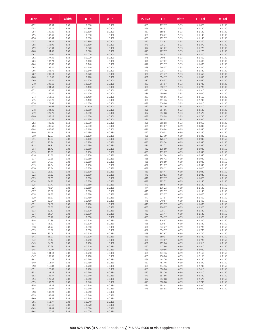| ISO NO.          | I.D.             | Width        | $I.D.$ Tol.        | W.Tol.             |
|------------------|------------------|--------------|--------------------|--------------------|
| $-252$           | 132.94           | 3.53         | ± 0.890            | ± 0.100            |
| $-253$           | 136.12           | 3.53         | ± 0.890            | ± 0.100            |
| $-254$           | 139.29           | 3.53         | ± 0.890            | ± 0.100            |
| $-255$           | 142.47           | 3.53         | ± 0.890            | ± 0.100            |
| $-256$<br>$-257$ | 145.64<br>148.82 | 3.53<br>3.53 | ± 0.890<br>± 0.890 | ± 0.100<br>± 0.100 |
| $-258$           | 151.99           | 3.53         | ± 0.890            | ± 0.100            |
| $-259$           | 158.34           | 3.53         | ± 1.020            | ± 0.100            |
| $-260$           | 164.69           | 3.53         | ± 1.020            | ± 0.100            |
| $-261$<br>$-262$ | 171.04<br>177.39 | 3.53<br>3.53 | ± 1.020<br>± 1.020 | ± 0.100<br>± 0.100 |
| $-263$           | 183.74           | 3.53         | ± 1.140            | $\pm$ 0.100        |
| $-264$           | 190.09           | 3.53         | ± 1.140            | ± 0.100            |
| $-265$           | 196.44           | 3.53         | ± 1.140            | $\pm$ 0.100        |
| $-266$<br>$-267$ | 202.79<br>209.14 | 3.53<br>3.53 | ± 1.140<br>± 1.270 | ± 0.100<br>± 0.100 |
| $-268$           | 215.49           | 3.53         | ± 1.270            | ± 0.100            |
| $-269$           | 221.84           | 3.53         | ± 1.270            | ± 0.100            |
| $-270$           | 228.19           | 3.53         | ± 1.270            | ± 0.100            |
| $-271$<br>$-272$ | 234.54<br>240.89 | 3.53<br>3.53 | ± 1.400<br>± 1.400 | ± 0.100<br>± 0.100 |
| $-273$           | 247.24           | 3.53         | ± 1.400            | ± 0.100            |
| $-274$           | 253.59           | 3.53         | ± 1.400            | ± 0.100            |
| $-275$           | 266.29           | 3.53         | ± 1.400<br>± 1.650 | ± 0.100            |
| $-276$<br>$-277$ | 278.99<br>291.69 | 3.53<br>3.53 | ± 1.650            | ± 0.100<br>± 0.100 |
| $-278$           | 304.39           | 3.53         | ± 1.650            | ± 0.100            |
| $-279$           | 329.79           | 3.53         | ± 1.650            | ± 0.100            |
| $-280$<br>$-281$ | 355.19           | 3.53<br>3.53 | ± 1.650<br>± 1.650 | ± 0.100            |
| $-282$           | 380.59<br>405.26 | 3.53         | ± 1.910            | ± 0.100<br>± 0.100 |
| $-283$           | 430.66           | 3.53         | ± 2.030            | ± 0.100            |
| $-284$           | 456.06           | 3.53         | ± 2.160            | ± 0.100            |
| $-309$<br>$-310$ | 10.46<br>12.07   | 5.33<br>5.33 | ± 0.130<br>± 0.130 | ± 0.130<br>± 0.130 |
| $-311$           | 13.64            | 5.33         | ± 0.180            | ± 0.130            |
| $-312$           | 15.24            | 5.33         | ± 0.230            | ± 0.130            |
| $-313$           | 16.81            | 5.33         | ± 0.230            | ± 0.130            |
| $-314$<br>$-315$ | 18.42<br>19.99   | 5.33<br>5.33 | ± 0.250<br>± 0.250 | ± 0.130<br>± 0.130 |
| $-316$           | 21.59            | 5.33         | ± 0.250            | ± 0.130            |
| $-317$           | 23.16            | 5.33         | ± 0.250            | ± 0.130            |
| $-318$           | 24.77            | 5.33         | ± 0.250            | ± 0.130            |
| $-319$<br>$-320$ | 26.34<br>27.94   | 5.33<br>5.33 | ± 0.250<br>± 0.300 | ± 0.130<br>± 0.130 |
| $-321$           | 29.51            | 5.33         | ± 0.300            | ± 0.130            |
| $-322$           | 31.12            | 5.33         | ± 0.300            | ± 0.130            |
| $-323$           | 32.69            | 5.33         | ± 0.300            | ± 0.130            |
| $-324$<br>$-325$ | 34.29<br>37.47   | 5.33<br>5.33 | ± 0.300<br>± 0.380 | ± 0.130<br>± 0.130 |
| $-326$           | 40.64            | 5.33         | ± 0.380            | ± 0.130            |
| -327             | 43.82            | 5.33         | ± 0.380            | ± 0.130            |
| $-328$<br>$-329$ | 46.99<br>50.17   | 5.33<br>5.33 | ± 0.380<br>± 0.460 | ± 0.130<br>± 0.130 |
| -330             | 53.34            | 5.33         | ± 0.460            | ± 0.130            |
| $-331$           | 56.52            | 5.33         | ± 0.460            | $+0.130$           |
| $-332$           | 59.69            | 5.33         | ± 0.460            | ± 0.130            |
| $-333$<br>$-334$ | 62.87<br>66.04   | 5.33<br>5.33 | ± 0.510<br>± 0.510 | ± 0.130<br>± 0.130 |
| $-335$           | 69.22            | 5.33         | ± 0.510            | ± 0.130            |
| -336             | 72.39            | 5.33         | ± 0.510            | ± 0.130            |
| -337             | 75.57            | 5.33         | ± 0.610            | ± 0.130            |
| -338<br>$-339$   | 78.74<br>81.92   | 5.33<br>5.33 | ± 0.610<br>± 0.610 | ± 0.130<br>± 0.130 |
| $-340$           | 85.09            | 5.33         | ± 0.610            | ± 0.130            |
| $-341$           | 88.27            | 5.33         | ± 0.610            | ± 0.130            |
| $-342$           | 91.44            | 5.33         | ± 0.710            | ± 0.130            |
| $-343$<br>-344   | 94.62<br>97.79   | 5.33<br>5.33 | ± 0.710<br>± 0.710 | ± 0.130<br>± 0.130 |
| -345             | 100.97           | 5.33         | ± 0.710            | ± 0.130            |
| -346             | 104.14           | 5.33         | ± 0.710            | ± 0.130            |
| $-347$           | 107.32           | 5.33         | ± 0.760            | ± 0.130            |
| $-348$<br>$-349$ | 110.49<br>113.67 | 5.33<br>5.33 | ± 0.760<br>± 0.760 | ± 0.130<br>± 0.130 |
| $-350$           | 116.84           | 5.33         | ± 0.760            | ± 0.130            |
| $-351$           | 120.02           | 5.33         | ± 0.760            | ± 0.130            |
| $-352$           | 123.19           | 5.33         | ± 0.760            | ± 0.130            |
| $-353$<br>$-354$ | 126.37<br>129.54 | 5.33<br>5.33 | ± 0.940<br>± 0.940 | ± 0.130<br>± 0.130 |
| -355             | 132.72           | 5.33         | ± 0.940            | ± 0.130            |
| -356             | 135.89           | 5.33         | ± 0.940            | ± 0.130            |
| $-357$<br>$-358$ | 139.07<br>142.24 | 5.33<br>5.33 | ± 0.940<br>± 0.940 | ± 0.130<br>± 0.130 |
| $-359$           | 145.42           | 5.33         | ± 0.940            | ± 0.130            |
| $-360$           | 148.59           | 5.33         | ± 0.940            | ± 0.130            |
| $-361$           | 151.77           | 5.33         | ± 0.940            | ± 0.130            |
| $-362$<br>$-363$ | 158.12<br>164.47 | 5.33<br>5.33 | ± 1.020<br>± 1.020 | ± 0.130<br>± 0.130 |
| $-364$           | 170.82           | 5.33         | ± 1.020            | ± 0.130            |

| ISO No.          | I.D.             | Width        | I.D. Tol.          | W. Tol.            |
|------------------|------------------|--------------|--------------------|--------------------|
| $-365$           | 177.17           | 5.33         | $\pm$ 1.020        | $\pm$ 0.130        |
| $-366$           | 183.52           | 5.33         | ± 1.140            | ± 0.130            |
| $-367$           | 189.87           | 5.33         | ± 1.140            | ± 0.130            |
| $-368$           | 196.22           | 5.33         | ± 1.140            | ± 0.130            |
| $-369$           | 202.57           | 5.33         | ± 1.140            | ± 0.130            |
| $-370$           | 208.92           | 5.33         | ± 1.270            | ± 0.130            |
| $-371$           | 215.27           | 5.33         | ± 1.270            | ± 0.130            |
| $-372$           | 221.62           | 5.33         | ± 1.270            | ± 0.130            |
| $-373$           | 227.97           | 5.33         | ± 1.270            | ± 0.130            |
| $-374$<br>$-375$ | 234.32<br>240.67 | 5.33<br>5.33 | ± 1.400<br>± 1.400 | ± 0.130<br>± 0.130 |
| $-376$           | 247.02           | 5.33         | ± 1.400            | ± 0.130            |
| $-377$           | 253.37           | 5.33         | ± 1.400            | ± 0.130            |
| $-378$           | 266.07           | 5.33         | ± 1.520            | ± 0.130            |
| $-379$           | 278.77           | 5.33         | ± 1.520            | ± 0.130            |
| $-380$           | 291.47           | 5.33         | ± 1.650            | ± 0.130            |
| $-381$           | 304.17           | 5.33         | ± 1.650            | ± 0.130            |
| $-382$<br>$-383$ | 329.57           | 5.33         | ± 1.650            | ± 0.130<br>± 0.130 |
| $-384$           | 354.97<br>380.37 | 5.33<br>5.33 | ± 1.780<br>± 1.780 | ± 0.130            |
| $-385$           | 405.26           | 5.33         | ± 1.910            | ± 0.130            |
| $-386$           | 430.66           | 5.33         | ± 2.030            | ± 0.130            |
| $-387$           | 456.06           | 5.33         | ± 2.160            | ± 0.130            |
| $-388$           | 481.46           | 5.33         | ± 2.290            | ± 0.130            |
| $-389$           | 506.86           | 5.33         | ± 2.410            | ± 0.130            |
| $-390$           | 532.26           | 5.33         | ± 2.410            | ± 0.130            |
| $-391$<br>$-392$ | 557.66           | 5.33         | ± 2.540<br>± 2.670 | ± 0.130<br>± 0.130 |
| $-393$           | 582.68<br>608.08 | 5.33<br>5.33 | ± 2.790            | ± 0.130            |
| $-394$           | 633.48           | 5.33         | ± 2.920            | ± 0.130            |
| $-395$           | 658.88           | 5.33         | ± 3.050            | ± 0.130            |
| $-425$           | 113.67           | 6.99         | ± 0.840            | ± 0.150            |
| $-426$           | 116.84           | 6.99         | ± 0.840            | ± 0.150            |
| $-427$           | 120.02           | 6.99         | ± 0.840            | ± 0.150            |
| $-428$           | 123.19           | 6.99         | ± 0.840            | ± 0.150            |
| $-429$<br>$-430$ | 126.37           | 6.99<br>6.99 | ± 0.940            | ± 0.150<br>± 0.150 |
| $-431$           | 129.54<br>132.72 | 6.99         | ± 0.940<br>± 0.940 | ± 0.150            |
| $-432$           | 135.89           | 6.99         | ± 0.940            | ± 0.150            |
| $-433$           | 139.07           | 6.99         | ± 0.940            | ± 0.150            |
| $-434$           | 142.24           | 6.99         | ± 0.940            | ± 0.150            |
| $-435$           | 145.42           | 6.99         | ± 0.940            | ± 0.150            |
| $-436$           | 148.59           | 6.99         | ± 0.940            | ± 0.150            |
| $-437$<br>$-438$ | 151.77<br>158.12 | 6.99         | ± 0.940            | ± 0.150<br>± 0.150 |
| $-439$           | 164.47           | 6.99<br>6.99 | ± 1.020<br>± 1.020 | ± 0.150            |
| $-440$           | 170.82           | 6.99         | ± 1.020            | ± 0.150            |
| $-441$           | 177.17           | 6.99         | ± 1.020            | ± 0.150            |
| $-442$           | 183.52           | 6.99         | ± 1.140            | ± 0.150            |
| $-443$           | 189.87           | 6.99         | ± 1.140            | ± 0.150            |
| $-444$           | 196.22           | 6.99         | ± 1.140            | ± 0.150            |
| $-445$           | 202.57           | 6.99         | ± 1.140            | ± 0.150            |
| $-446$<br>$-447$ | 215.27<br>227.97 | 6.99<br>6.99 | ± 1.400<br>± 1.400 | ± 0.150<br>± 0.150 |
| $-448$           | 240.67           | 6.99         | ± 1.400            | ± 0.150            |
| $-449$           | 253.37           | 6.99         | ± 1.400            | ± 0.150            |
| $-450$           | 266.07           | 6.99         | ± 1.520            | ± 0.150            |
| $-451$           | 278.77           | 6.99         | ± 1.520            | ± 0.150            |
| $-452$           | 291.47           | 6.99         | ± 1.520            | ± 0.150            |
| $-453$<br>$-454$ | 304.17           | 6.99         | ± 1.520<br>± 1.520 | ± 0.150            |
| $-455$           | 316.87<br>329.57 | 6.99<br>6.99 | ± 1.520            | ± 0.150<br>± 0.150 |
| $-456$           | 342.27           | 6.99         | ± 1.780            | ± 0.150            |
| $-457$           | 354.97           | 6.99         | ± 1.780            | ± 0.150            |
| $-458$           | 367.67           | 6.99         | ± 1.780            | ± 0.150            |
| $-459$           | 380.37           | 6.99         | ± 1.780            | ± 0.150            |
| $-460$           | 393.07           | 6.99         | ± 1.780            | ± 0.150            |
| $-461$           | 405.26           | 6.99         | ± 1.910            | ± 0.150            |
| $-462$<br>$-463$ | 417.96<br>430.66 | 6.99<br>6.99 | ± 1.910<br>± 2.030 | ± 0.150<br>± 0.150 |
| $-464$           | 443.36           | 6.99         | ± 2.160            | ± 0.150            |
| $-465$           | 456.06           | 6.99         | ± 2.160            | ± 0.150            |
| $-466$           | 468.76           | 6.99         | ± 2.160            | ± 0.150            |
| $-467$           | 481.46           | 6.99         | ± 2.290            | ± 0.150            |
| $-468$           | 494.16           | 6.99         | ± 2.290            | ± 0.150            |
| $-469$           | 506.86           | 6.99         | ± 2.410            | ± 0.150            |
| $-470$<br>$-471$ | 532.26<br>557.66 | 6.99<br>6.99 | ± 2.410<br>± 2.540 | ± 0.150<br>± 0.150 |
| $-472$           | 582.68           | 6.99         | ± 2.670            | ± 0.150            |
| $-473$           | 608.08           | 6.99         | ± 2.790            | ± 0.150            |
| -474             | 633.48           | 6.99         | ± 2.920            | ± 0.150            |
| $-475$           | 658.88           | 6.99         | ± 3.050            | ± 0.150            |